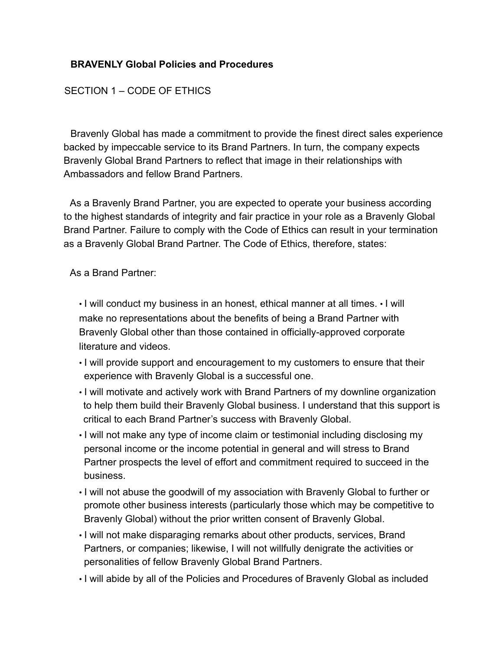# **BRAVENLY Global Policies and Procedures**

#### SECTION 1 – CODE OF ETHICS

Bravenly Global has made a commitment to provide the finest direct sales experience backed by impeccable service to its Brand Partners. In turn, the company expects Bravenly Global Brand Partners to reflect that image in their relationships with Ambassadors and fellow Brand Partners.

As a Bravenly Brand Partner, you are expected to operate your business according to the highest standards of integrity and fair practice in your role as a Bravenly Global Brand Partner. Failure to comply with the Code of Ethics can result in your termination as a Bravenly Global Brand Partner. The Code of Ethics, therefore, states:

As a Brand Partner:

• I will conduct my business in an honest, ethical manner at all times. • I will make no representations about the benefits of being a Brand Partner with Bravenly Global other than those contained in officially-approved corporate literature and videos.

- I will provide support and encouragement to my customers to ensure that their experience with Bravenly Global is a successful one.
- I will motivate and actively work with Brand Partners of my downline organization to help them build their Bravenly Global business. I understand that this support is critical to each Brand Partner's success with Bravenly Global.
- I will not make any type of income claim or testimonial including disclosing my personal income or the income potential in general and will stress to Brand Partner prospects the level of effort and commitment required to succeed in the business.
- I will not abuse the goodwill of my association with Bravenly Global to further or promote other business interests (particularly those which may be competitive to Bravenly Global) without the prior written consent of Bravenly Global.
- I will not make disparaging remarks about other products, services, Brand Partners, or companies; likewise, I will not willfully denigrate the activities or personalities of fellow Bravenly Global Brand Partners.
- I will abide by all of the Policies and Procedures of Bravenly Global as included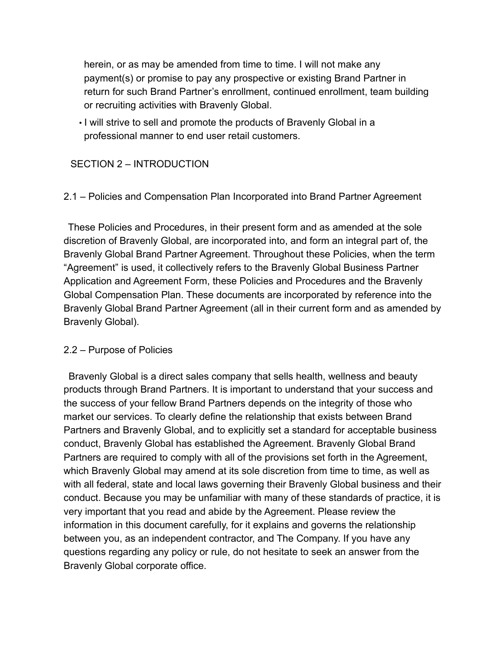herein, or as may be amended from time to time. I will not make any payment(s) or promise to pay any prospective or existing Brand Partner in return for such Brand Partner's enrollment, continued enrollment, team building or recruiting activities with Bravenly Global.

• I will strive to sell and promote the products of Bravenly Global in a professional manner to end user retail customers.

# SECTION 2 – INTRODUCTION

# 2.1 – Policies and Compensation Plan Incorporated into Brand Partner Agreement

These Policies and Procedures, in their present form and as amended at the sole discretion of Bravenly Global, are incorporated into, and form an integral part of, the Bravenly Global Brand Partner Agreement. Throughout these Policies, when the term "Agreement" is used, it collectively refers to the Bravenly Global Business Partner Application and Agreement Form, these Policies and Procedures and the Bravenly Global Compensation Plan. These documents are incorporated by reference into the Bravenly Global Brand Partner Agreement (all in their current form and as amended by Bravenly Global).

#### 2.2 – Purpose of Policies

Bravenly Global is a direct sales company that sells health, wellness and beauty products through Brand Partners. It is important to understand that your success and the success of your fellow Brand Partners depends on the integrity of those who market our services. To clearly define the relationship that exists between Brand Partners and Bravenly Global, and to explicitly set a standard for acceptable business conduct, Bravenly Global has established the Agreement. Bravenly Global Brand Partners are required to comply with all of the provisions set forth in the Agreement, which Bravenly Global may amend at its sole discretion from time to time, as well as with all federal, state and local laws governing their Bravenly Global business and their conduct. Because you may be unfamiliar with many of these standards of practice, it is very important that you read and abide by the Agreement. Please review the information in this document carefully, for it explains and governs the relationship between you, as an independent contractor, and The Company. If you have any questions regarding any policy or rule, do not hesitate to seek an answer from the Bravenly Global corporate office.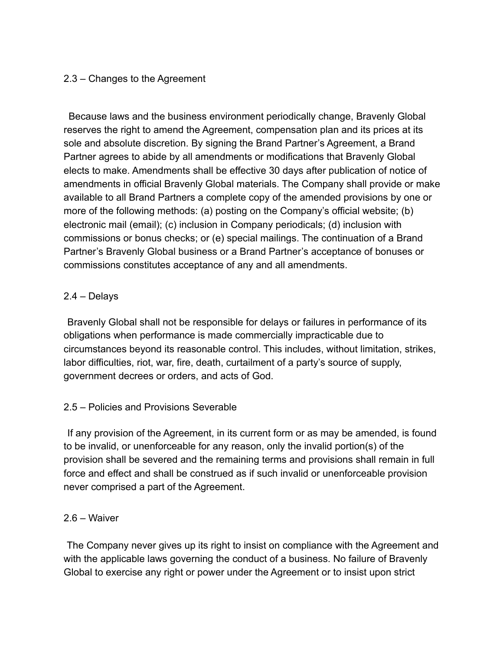# 2.3 – Changes to the Agreement

Because laws and the business environment periodically change, Bravenly Global reserves the right to amend the Agreement, compensation plan and its prices at its sole and absolute discretion. By signing the Brand Partner's Agreement, a Brand Partner agrees to abide by all amendments or modifications that Bravenly Global elects to make. Amendments shall be effective 30 days after publication of notice of amendments in official Bravenly Global materials. The Company shall provide or make available to all Brand Partners a complete copy of the amended provisions by one or more of the following methods: (a) posting on the Company's official website; (b) electronic mail (email); (c) inclusion in Company periodicals; (d) inclusion with commissions or bonus checks; or (e) special mailings. The continuation of a Brand Partner's Bravenly Global business or a Brand Partner's acceptance of bonuses or commissions constitutes acceptance of any and all amendments.

# 2.4 – Delays

Bravenly Global shall not be responsible for delays or failures in performance of its obligations when performance is made commercially impracticable due to circumstances beyond its reasonable control. This includes, without limitation, strikes, labor difficulties, riot, war, fire, death, curtailment of a party's source of supply, government decrees or orders, and acts of God.

# 2.5 – Policies and Provisions Severable

If any provision of the Agreement, in its current form or as may be amended, is found to be invalid, or unenforceable for any reason, only the invalid portion(s) of the provision shall be severed and the remaining terms and provisions shall remain in full force and effect and shall be construed as if such invalid or unenforceable provision never comprised a part of the Agreement.

# 2.6 – Waiver

The Company never gives up its right to insist on compliance with the Agreement and with the applicable laws governing the conduct of a business. No failure of Bravenly Global to exercise any right or power under the Agreement or to insist upon strict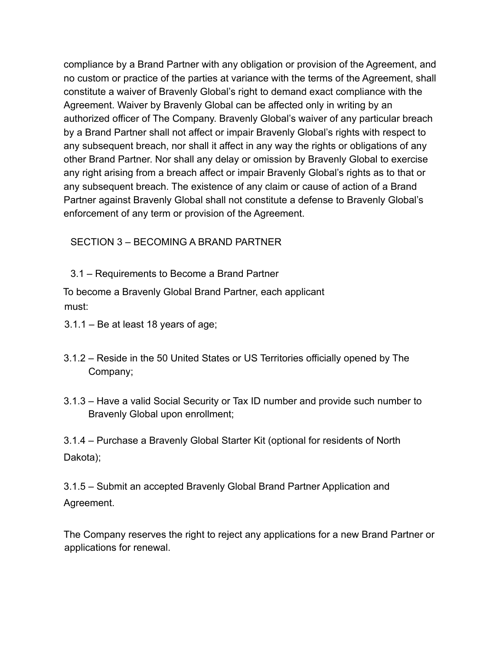compliance by a Brand Partner with any obligation or provision of the Agreement, and no custom or practice of the parties at variance with the terms of the Agreement, shall constitute a waiver of Bravenly Global's right to demand exact compliance with the Agreement. Waiver by Bravenly Global can be affected only in writing by an authorized officer of The Company. Bravenly Global's waiver of any particular breach by a Brand Partner shall not affect or impair Bravenly Global's rights with respect to any subsequent breach, nor shall it affect in any way the rights or obligations of any other Brand Partner. Nor shall any delay or omission by Bravenly Global to exercise any right arising from a breach affect or impair Bravenly Global's rights as to that or any subsequent breach. The existence of any claim or cause of action of a Brand Partner against Bravenly Global shall not constitute a defense to Bravenly Global's enforcement of any term or provision of the Agreement.

# SECTION 3 – BECOMING A BRAND PARTNER

3.1 – Requirements to Become a Brand Partner

To become a Bravenly Global Brand Partner, each applicant must:

- 3.1.1 Be at least 18 years of age;
- 3.1.2 Reside in the 50 United States or US Territories officially opened by The Company;
- 3.1.3 Have a valid Social Security or Tax ID number and provide such number to Bravenly Global upon enrollment;

3.1.4 – Purchase a Bravenly Global Starter Kit (optional for residents of North Dakota);

3.1.5 – Submit an accepted Bravenly Global Brand Partner Application and Agreement.

The Company reserves the right to reject any applications for a new Brand Partner or applications for renewal.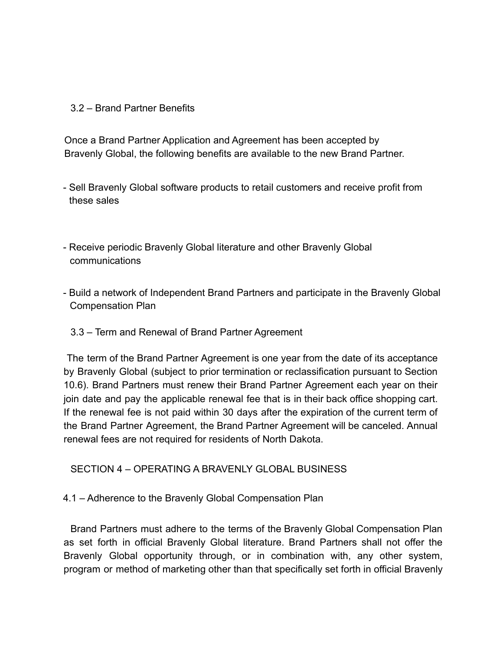#### 3.2 – Brand Partner Benefits

Once a Brand Partner Application and Agreement has been accepted by Bravenly Global, the following benefits are available to the new Brand Partner.

- Sell Bravenly Global software products to retail customers and receive profit from these sales
- Receive periodic Bravenly Global literature and other Bravenly Global communications
- Build a network of Independent Brand Partners and participate in the Bravenly Global Compensation Plan
	- 3.3 Term and Renewal of Brand Partner Agreement

The term of the Brand Partner Agreement is one year from the date of its acceptance by Bravenly Global (subject to prior termination or reclassification pursuant to Section 10.6). Brand Partners must renew their Brand Partner Agreement each year on their join date and pay the applicable renewal fee that is in their back office shopping cart. If the renewal fee is not paid within 30 days after the expiration of the current term of the Brand Partner Agreement, the Brand Partner Agreement will be canceled. Annual renewal fees are not required for residents of North Dakota.

SECTION 4 – OPERATING A BRAVENLY GLOBAL BUSINESS

4.1 – Adherence to the Bravenly Global Compensation Plan

Brand Partners must adhere to the terms of the Bravenly Global Compensation Plan as set forth in official Bravenly Global literature. Brand Partners shall not offer the Bravenly Global opportunity through, or in combination with, any other system, program or method of marketing other than that specifically set forth in official Bravenly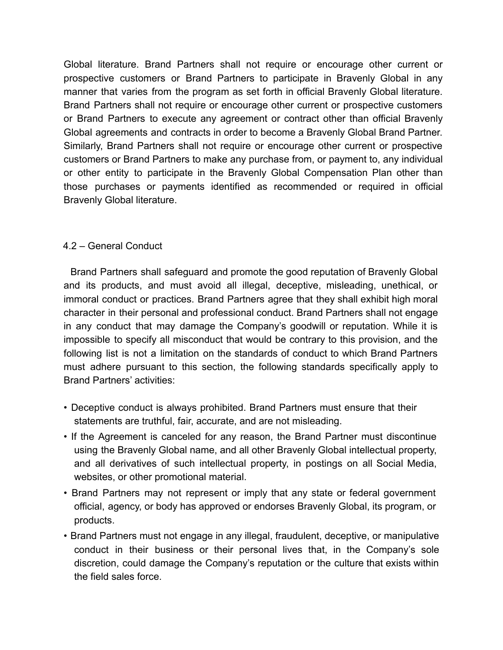Global literature. Brand Partners shall not require or encourage other current or prospective customers or Brand Partners to participate in Bravenly Global in any manner that varies from the program as set forth in official Bravenly Global literature. Brand Partners shall not require or encourage other current or prospective customers or Brand Partners to execute any agreement or contract other than official Bravenly Global agreements and contracts in order to become a Bravenly Global Brand Partner. Similarly, Brand Partners shall not require or encourage other current or prospective customers or Brand Partners to make any purchase from, or payment to, any individual or other entity to participate in the Bravenly Global Compensation Plan other than those purchases or payments identified as recommended or required in official Bravenly Global literature.

# 4.2 – General Conduct

Brand Partners shall safeguard and promote the good reputation of Bravenly Global and its products, and must avoid all illegal, deceptive, misleading, unethical, or immoral conduct or practices. Brand Partners agree that they shall exhibit high moral character in their personal and professional conduct. Brand Partners shall not engage in any conduct that may damage the Company's goodwill or reputation. While it is impossible to specify all misconduct that would be contrary to this provision, and the following list is not a limitation on the standards of conduct to which Brand Partners must adhere pursuant to this section, the following standards specifically apply to Brand Partners' activities:

- Deceptive conduct is always prohibited. Brand Partners must ensure that their statements are truthful, fair, accurate, and are not misleading.
- If the Agreement is canceled for any reason, the Brand Partner must discontinue using the Bravenly Global name, and all other Bravenly Global intellectual property, and all derivatives of such intellectual property, in postings on all Social Media, websites, or other promotional material.
- Brand Partners may not represent or imply that any state or federal government official, agency, or body has approved or endorses Bravenly Global, its program, or products.
- Brand Partners must not engage in any illegal, fraudulent, deceptive, or manipulative conduct in their business or their personal lives that, in the Company's sole discretion, could damage the Company's reputation or the culture that exists within the field sales force.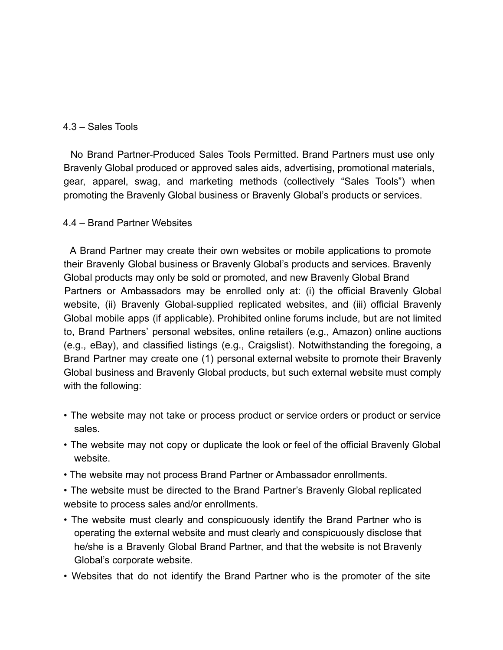#### 4.3 – Sales Tools

No Brand Partner-Produced Sales Tools Permitted. Brand Partners must use only Bravenly Global produced or approved sales aids, advertising, promotional materials, gear, apparel, swag, and marketing methods (collectively "Sales Tools") when promoting the Bravenly Global business or Bravenly Global's products or services.

#### 4.4 – Brand Partner Websites

A Brand Partner may create their own websites or mobile applications to promote their Bravenly Global business or Bravenly Global's products and services. Bravenly Global products may only be sold or promoted, and new Bravenly Global Brand Partners or Ambassadors may be enrolled only at: (i) the official Bravenly Global website, (ii) Bravenly Global-supplied replicated websites, and (iii) official Bravenly Global mobile apps (if applicable). Prohibited online forums include, but are not limited to, Brand Partners' personal websites, online retailers (e.g., Amazon) online auctions (e.g., eBay), and classified listings (e.g., Craigslist). Notwithstanding the foregoing, a Brand Partner may create one (1) personal external website to promote their Bravenly Global business and Bravenly Global products, but such external website must comply with the following:

- The website may not take or process product or service orders or product or service sales.
- The website may not copy or duplicate the look or feel of the official Bravenly Global website.
- The website may not process Brand Partner or Ambassador enrollments.

• The website must be directed to the Brand Partner's Bravenly Global replicated website to process sales and/or enrollments.

- The website must clearly and conspicuously identify the Brand Partner who is operating the external website and must clearly and conspicuously disclose that he/she is a Bravenly Global Brand Partner, and that the website is not Bravenly Global's corporate website.
- Websites that do not identify the Brand Partner who is the promoter of the site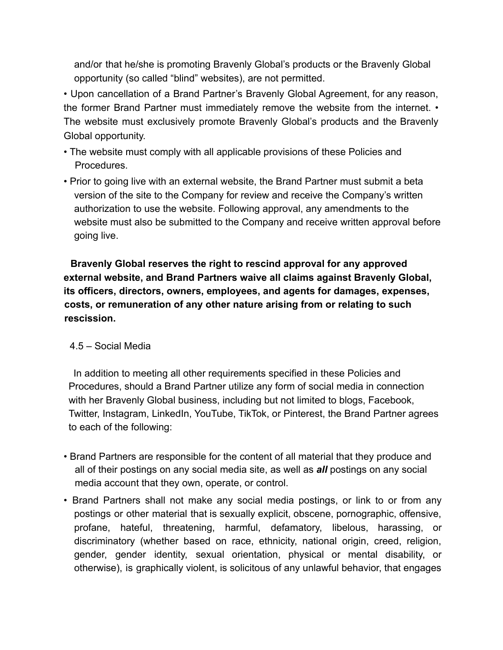and/or that he/she is promoting Bravenly Global's products or the Bravenly Global opportunity (so called "blind" websites), are not permitted.

• Upon cancellation of a Brand Partner's Bravenly Global Agreement, for any reason, the former Brand Partner must immediately remove the website from the internet. • The website must exclusively promote Bravenly Global's products and the Bravenly Global opportunity.

- The website must comply with all applicable provisions of these Policies and Procedures.
- Prior to going live with an external website, the Brand Partner must submit a beta version of the site to the Company for review and receive the Company's written authorization to use the website. Following approval, any amendments to the website must also be submitted to the Company and receive written approval before going live.

**Bravenly Global reserves the right to rescind approval for any approved external website, and Brand Partners waive all claims against Bravenly Global, its officers, directors, owners, employees, and agents for damages, expenses, costs, or remuneration of any other nature arising from or relating to such rescission.**

# 4.5 – Social Media

In addition to meeting all other requirements specified in these Policies and Procedures, should a Brand Partner utilize any form of social media in connection with her Bravenly Global business, including but not limited to blogs, Facebook, Twitter, Instagram, LinkedIn, YouTube, TikTok, or Pinterest, the Brand Partner agrees to each of the following:

- Brand Partners are responsible for the content of all material that they produce and all of their postings on any social media site, as well as *all* postings on any social media account that they own, operate, or control.
- Brand Partners shall not make any social media postings, or link to or from any postings or other material that is sexually explicit, obscene, pornographic, offensive, profane, hateful, threatening, harmful, defamatory, libelous, harassing, or discriminatory (whether based on race, ethnicity, national origin, creed, religion, gender, gender identity, sexual orientation, physical or mental disability, or otherwise), is graphically violent, is solicitous of any unlawful behavior, that engages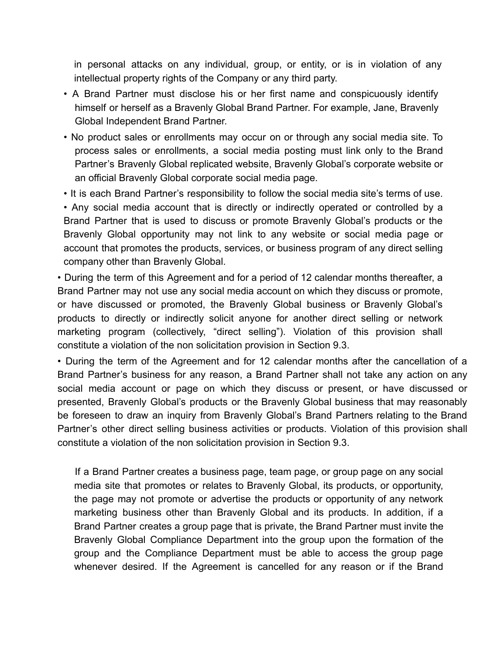in personal attacks on any individual, group, or entity, or is in violation of any intellectual property rights of the Company or any third party.

- A Brand Partner must disclose his or her first name and conspicuously identify himself or herself as a Bravenly Global Brand Partner. For example, Jane, Bravenly Global Independent Brand Partner.
- No product sales or enrollments may occur on or through any social media site. To process sales or enrollments, a social media posting must link only to the Brand Partner's Bravenly Global replicated website, Bravenly Global's corporate website or an official Bravenly Global corporate social media page.
- It is each Brand Partner's responsibility to follow the social media site's terms of use.

• Any social media account that is directly or indirectly operated or controlled by a Brand Partner that is used to discuss or promote Bravenly Global's products or the Bravenly Global opportunity may not link to any website or social media page or account that promotes the products, services, or business program of any direct selling company other than Bravenly Global.

• During the term of this Agreement and for a period of 12 calendar months thereafter, a Brand Partner may not use any social media account on which they discuss or promote, or have discussed or promoted, the Bravenly Global business or Bravenly Global's products to directly or indirectly solicit anyone for another direct selling or network marketing program (collectively, "direct selling"). Violation of this provision shall constitute a violation of the non solicitation provision in Section 9.3.

• During the term of the Agreement and for 12 calendar months after the cancellation of a Brand Partner's business for any reason, a Brand Partner shall not take any action on any social media account or page on which they discuss or present, or have discussed or presented, Bravenly Global's products or the Bravenly Global business that may reasonably be foreseen to draw an inquiry from Bravenly Global's Brand Partners relating to the Brand Partner's other direct selling business activities or products. Violation of this provision shall constitute a violation of the non solicitation provision in Section 9.3.

If a Brand Partner creates a business page, team page, or group page on any social media site that promotes or relates to Bravenly Global, its products, or opportunity, the page may not promote or advertise the products or opportunity of any network marketing business other than Bravenly Global and its products. In addition, if a Brand Partner creates a group page that is private, the Brand Partner must invite the Bravenly Global Compliance Department into the group upon the formation of the group and the Compliance Department must be able to access the group page whenever desired. If the Agreement is cancelled for any reason or if the Brand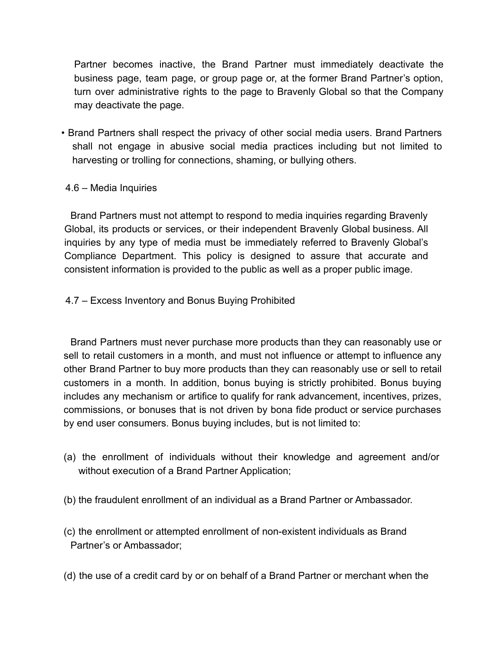Partner becomes inactive, the Brand Partner must immediately deactivate the business page, team page, or group page or, at the former Brand Partner's option, turn over administrative rights to the page to Bravenly Global so that the Company may deactivate the page.

• Brand Partners shall respect the privacy of other social media users. Brand Partners shall not engage in abusive social media practices including but not limited to harvesting or trolling for connections, shaming, or bullying others.

# 4.6 – Media Inquiries

Brand Partners must not attempt to respond to media inquiries regarding Bravenly Global, its products or services, or their independent Bravenly Global business. All inquiries by any type of media must be immediately referred to Bravenly Global's Compliance Department. This policy is designed to assure that accurate and consistent information is provided to the public as well as a proper public image.

4.7 – Excess Inventory and Bonus Buying Prohibited

Brand Partners must never purchase more products than they can reasonably use or sell to retail customers in a month, and must not influence or attempt to influence any other Brand Partner to buy more products than they can reasonably use or sell to retail customers in a month. In addition, bonus buying is strictly prohibited. Bonus buying includes any mechanism or artifice to qualify for rank advancement, incentives, prizes, commissions, or bonuses that is not driven by bona fide product or service purchases by end user consumers. Bonus buying includes, but is not limited to:

- (a) the enrollment of individuals without their knowledge and agreement and/or without execution of a Brand Partner Application;
- (b) the fraudulent enrollment of an individual as a Brand Partner or Ambassador.
- (c) the enrollment or attempted enrollment of non-existent individuals as Brand Partner's or Ambassador;
- (d) the use of a credit card by or on behalf of a Brand Partner or merchant when the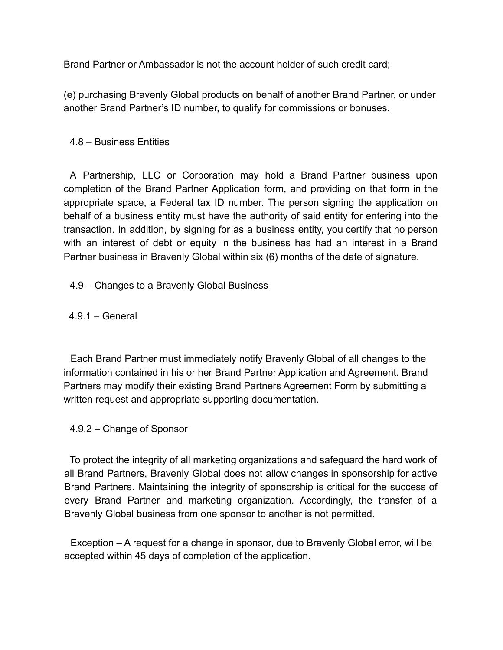Brand Partner or Ambassador is not the account holder of such credit card;

(e) purchasing Bravenly Global products on behalf of another Brand Partner, or under another Brand Partner's ID number, to qualify for commissions or bonuses.

# 4.8 – Business Entities

A Partnership, LLC or Corporation may hold a Brand Partner business upon completion of the Brand Partner Application form, and providing on that form in the appropriate space, a Federal tax ID number. The person signing the application on behalf of a business entity must have the authority of said entity for entering into the transaction. In addition, by signing for as a business entity, you certify that no person with an interest of debt or equity in the business has had an interest in a Brand Partner business in Bravenly Global within six (6) months of the date of signature.

4.9 – Changes to a Bravenly Global Business

4.9.1 – General

Each Brand Partner must immediately notify Bravenly Global of all changes to the information contained in his or her Brand Partner Application and Agreement. Brand Partners may modify their existing Brand Partners Agreement Form by submitting a written request and appropriate supporting documentation.

4.9.2 – Change of Sponsor

To protect the integrity of all marketing organizations and safeguard the hard work of all Brand Partners, Bravenly Global does not allow changes in sponsorship for active Brand Partners. Maintaining the integrity of sponsorship is critical for the success of every Brand Partner and marketing organization. Accordingly, the transfer of a Bravenly Global business from one sponsor to another is not permitted.

Exception – A request for a change in sponsor, due to Bravenly Global error, will be accepted within 45 days of completion of the application.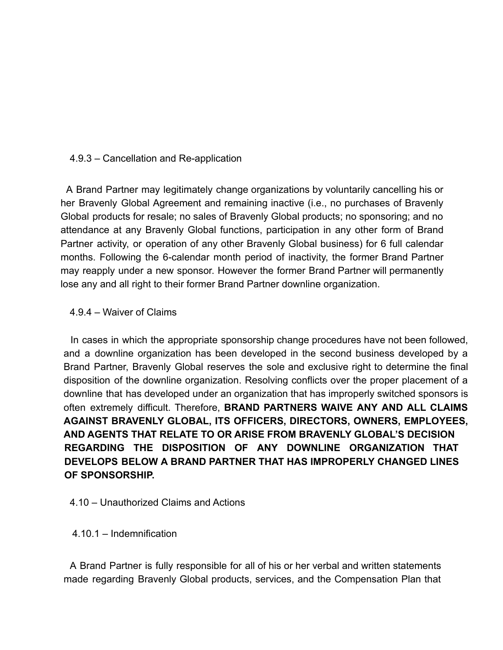#### 4.9.3 – Cancellation and Re-application

A Brand Partner may legitimately change organizations by voluntarily cancelling his or her Bravenly Global Agreement and remaining inactive (i.e., no purchases of Bravenly Global products for resale; no sales of Bravenly Global products; no sponsoring; and no attendance at any Bravenly Global functions, participation in any other form of Brand Partner activity, or operation of any other Bravenly Global business) for 6 full calendar months. Following the 6-calendar month period of inactivity, the former Brand Partner may reapply under a new sponsor. However the former Brand Partner will permanently lose any and all right to their former Brand Partner downline organization.

#### 4.9.4 – Waiver of Claims

In cases in which the appropriate sponsorship change procedures have not been followed, and a downline organization has been developed in the second business developed by a Brand Partner, Bravenly Global reserves the sole and exclusive right to determine the final disposition of the downline organization. Resolving conflicts over the proper placement of a downline that has developed under an organization that has improperly switched sponsors is often extremely difficult. Therefore, **BRAND PARTNERS WAIVE ANY AND ALL CLAIMS AGAINST BRAVENLY GLOBAL, ITS OFFICERS, DIRECTORS, OWNERS, EMPLOYEES, AND AGENTS THAT RELATE TO OR ARISE FROM BRAVENLY GLOBAL'S DECISION REGARDING THE DISPOSITION OF ANY DOWNLINE ORGANIZATION THAT DEVELOPS BELOW A BRAND PARTNER THAT HAS IMPROPERLY CHANGED LINES OF SPONSORSHIP.**

#### 4.10 – Unauthorized Claims and Actions

#### 4.10.1 – Indemnification

A Brand Partner is fully responsible for all of his or her verbal and written statements made regarding Bravenly Global products, services, and the Compensation Plan that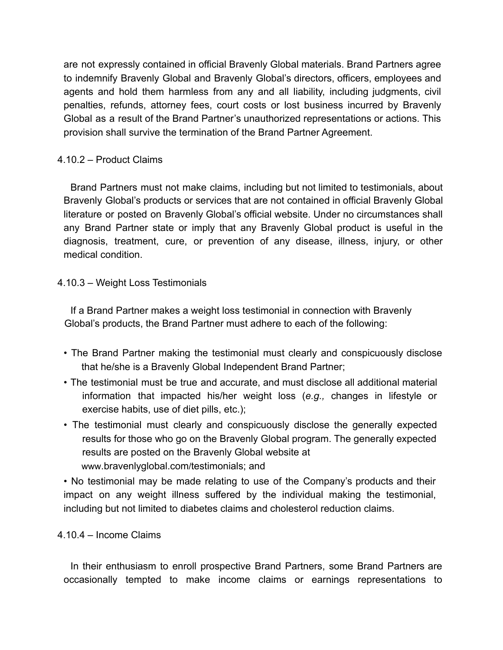are not expressly contained in official Bravenly Global materials. Brand Partners agree to indemnify Bravenly Global and Bravenly Global's directors, officers, employees and agents and hold them harmless from any and all liability, including judgments, civil penalties, refunds, attorney fees, court costs or lost business incurred by Bravenly Global as a result of the Brand Partner's unauthorized representations or actions. This provision shall survive the termination of the Brand Partner Agreement.

# 4.10.2 – Product Claims

Brand Partners must not make claims, including but not limited to testimonials, about Bravenly Global's products or services that are not contained in official Bravenly Global literature or posted on Bravenly Global's official website. Under no circumstances shall any Brand Partner state or imply that any Bravenly Global product is useful in the diagnosis, treatment, cure, or prevention of any disease, illness, injury, or other medical condition.

# 4.10.3 – Weight Loss Testimonials

If a Brand Partner makes a weight loss testimonial in connection with Bravenly Global's products, the Brand Partner must adhere to each of the following:

- The Brand Partner making the testimonial must clearly and conspicuously disclose that he/she is a Bravenly Global Independent Brand Partner;
- The testimonial must be true and accurate, and must disclose all additional material information that impacted his/her weight loss (*e.g.,* changes in lifestyle or exercise habits, use of diet pills, etc.);
- The testimonial must clearly and conspicuously disclose the generally expected results for those who go on the Bravenly Global program. The generally expected results are posted on the Bravenly Global website at www.bravenlyglobal.com/testimonials; and

• No testimonial may be made relating to use of the Company's products and their impact on any weight illness suffered by the individual making the testimonial, including but not limited to diabetes claims and cholesterol reduction claims.

# 4.10.4 – Income Claims

In their enthusiasm to enroll prospective Brand Partners, some Brand Partners are occasionally tempted to make income claims or earnings representations to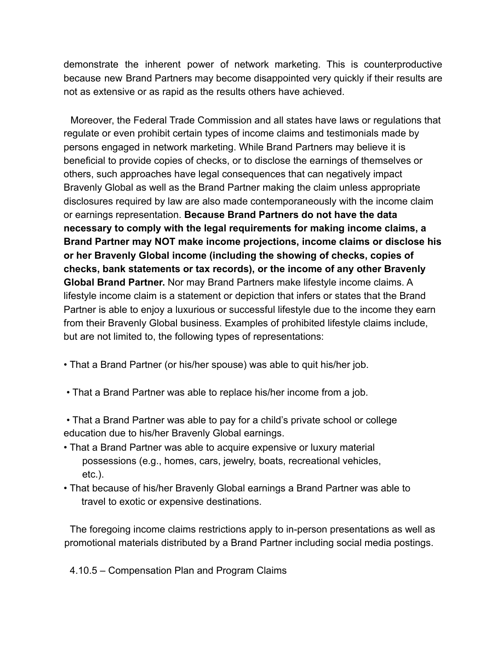demonstrate the inherent power of network marketing. This is counterproductive because new Brand Partners may become disappointed very quickly if their results are not as extensive or as rapid as the results others have achieved.

Moreover, the Federal Trade Commission and all states have laws or regulations that regulate or even prohibit certain types of income claims and testimonials made by persons engaged in network marketing. While Brand Partners may believe it is beneficial to provide copies of checks, or to disclose the earnings of themselves or others, such approaches have legal consequences that can negatively impact Bravenly Global as well as the Brand Partner making the claim unless appropriate disclosures required by law are also made contemporaneously with the income claim or earnings representation. **Because Brand Partners do not have the data necessary to comply with the legal requirements for making income claims, a Brand Partner may NOT make income projections, income claims or disclose his or her Bravenly Global income (including the showing of checks, copies of checks, bank statements or tax records), or the income of any other Bravenly Global Brand Partner.** Nor may Brand Partners make lifestyle income claims. A lifestyle income claim is a statement or depiction that infers or states that the Brand Partner is able to enjoy a luxurious or successful lifestyle due to the income they earn from their Bravenly Global business. Examples of prohibited lifestyle claims include, but are not limited to, the following types of representations:

- That a Brand Partner (or his/her spouse) was able to quit his/her job.
- That a Brand Partner was able to replace his/her income from a job.

• That a Brand Partner was able to pay for a child's private school or college education due to his/her Bravenly Global earnings.

- That a Brand Partner was able to acquire expensive or luxury material possessions (e.g., homes, cars, jewelry, boats, recreational vehicles, etc.).
- That because of his/her Bravenly Global earnings a Brand Partner was able to travel to exotic or expensive destinations.

The foregoing income claims restrictions apply to in-person presentations as well as promotional materials distributed by a Brand Partner including social media postings.

4.10.5 – Compensation Plan and Program Claims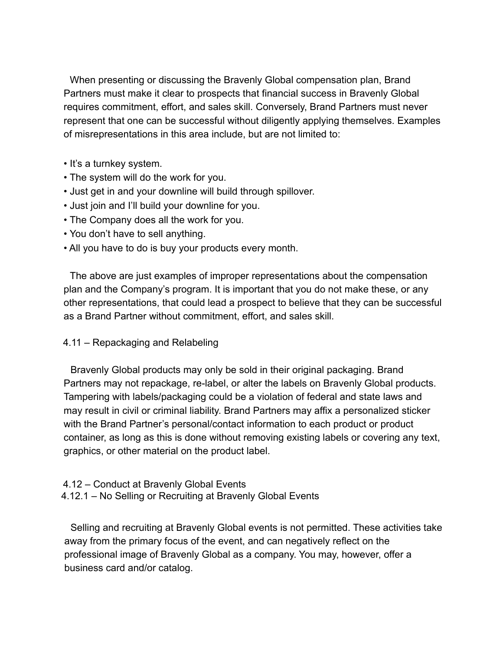When presenting or discussing the Bravenly Global compensation plan, Brand Partners must make it clear to prospects that financial success in Bravenly Global requires commitment, effort, and sales skill. Conversely, Brand Partners must never represent that one can be successful without diligently applying themselves. Examples of misrepresentations in this area include, but are not limited to:

- It's a turnkey system.
- The system will do the work for you.
- Just get in and your downline will build through spillover.
- Just join and I'll build your downline for you.
- The Company does all the work for you.
- You don't have to sell anything.
- All you have to do is buy your products every month.

The above are just examples of improper representations about the compensation plan and the Company's program. It is important that you do not make these, or any other representations, that could lead a prospect to believe that they can be successful as a Brand Partner without commitment, effort, and sales skill.

#### 4.11 – Repackaging and Relabeling

Bravenly Global products may only be sold in their original packaging. Brand Partners may not repackage, re-label, or alter the labels on Bravenly Global products. Tampering with labels/packaging could be a violation of federal and state laws and may result in civil or criminal liability. Brand Partners may affix a personalized sticker with the Brand Partner's personal/contact information to each product or product container, as long as this is done without removing existing labels or covering any text, graphics, or other material on the product label.

4.12 – Conduct at Bravenly Global Events 4.12.1 – No Selling or Recruiting at Bravenly Global Events

Selling and recruiting at Bravenly Global events is not permitted. These activities take away from the primary focus of the event, and can negatively reflect on the professional image of Bravenly Global as a company. You may, however, offer a business card and/or catalog.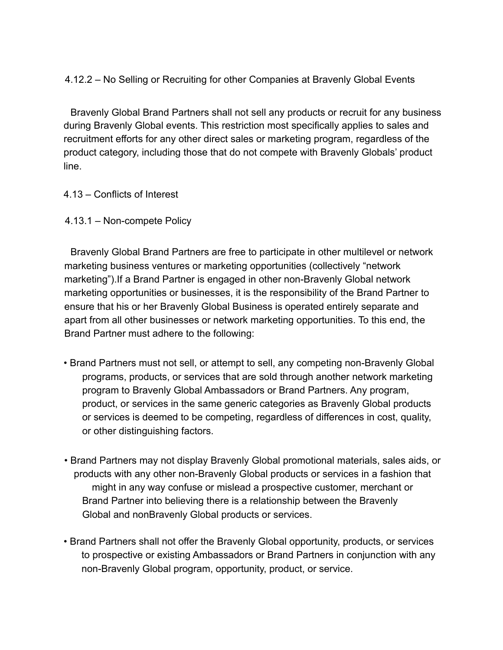# 4.12.2 – No Selling or Recruiting for other Companies at Bravenly Global Events

Bravenly Global Brand Partners shall not sell any products or recruit for any business during Bravenly Global events. This restriction most specifically applies to sales and recruitment efforts for any other direct sales or marketing program, regardless of the product category, including those that do not compete with Bravenly Globals' product line.

#### 4.13 – Conflicts of Interest

4.13.1 – Non-compete Policy

Bravenly Global Brand Partners are free to participate in other multilevel or network marketing business ventures or marketing opportunities (collectively "network marketing").If a Brand Partner is engaged in other non-Bravenly Global network marketing opportunities or businesses, it is the responsibility of the Brand Partner to ensure that his or her Bravenly Global Business is operated entirely separate and apart from all other businesses or network marketing opportunities. To this end, the Brand Partner must adhere to the following:

- Brand Partners must not sell, or attempt to sell, any competing non-Bravenly Global programs, products, or services that are sold through another network marketing program to Bravenly Global Ambassadors or Brand Partners. Any program, product, or services in the same generic categories as Bravenly Global products or services is deemed to be competing, regardless of differences in cost, quality, or other distinguishing factors.
- Brand Partners may not display Bravenly Global promotional materials, sales aids, or products with any other non-Bravenly Global products or services in a fashion that might in any way confuse or mislead a prospective customer, merchant or Brand Partner into believing there is a relationship between the Bravenly Global and nonBravenly Global products or services.
- Brand Partners shall not offer the Bravenly Global opportunity, products, or services to prospective or existing Ambassadors or Brand Partners in conjunction with any non-Bravenly Global program, opportunity, product, or service.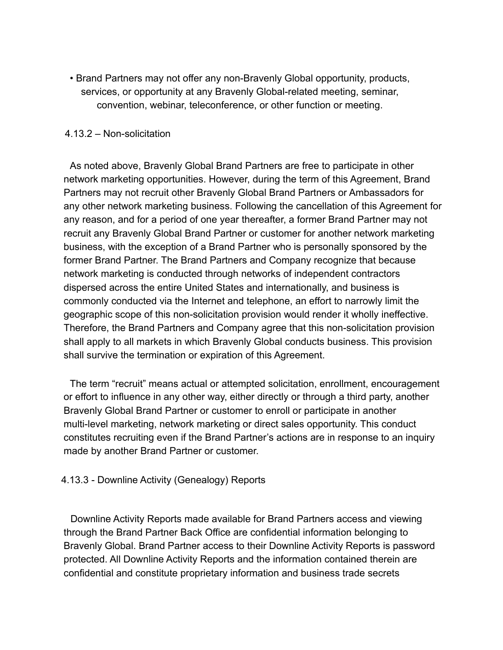• Brand Partners may not offer any non-Bravenly Global opportunity, products, services, or opportunity at any Bravenly Global-related meeting, seminar, convention, webinar, teleconference, or other function or meeting.

#### 4.13.2 – Non-solicitation

As noted above, Bravenly Global Brand Partners are free to participate in other network marketing opportunities. However, during the term of this Agreement, Brand Partners may not recruit other Bravenly Global Brand Partners or Ambassadors for any other network marketing business. Following the cancellation of this Agreement for any reason, and for a period of one year thereafter, a former Brand Partner may not recruit any Bravenly Global Brand Partner or customer for another network marketing business, with the exception of a Brand Partner who is personally sponsored by the former Brand Partner. The Brand Partners and Company recognize that because network marketing is conducted through networks of independent contractors dispersed across the entire United States and internationally, and business is commonly conducted via the Internet and telephone, an effort to narrowly limit the geographic scope of this non-solicitation provision would render it wholly ineffective. Therefore, the Brand Partners and Company agree that this non-solicitation provision shall apply to all markets in which Bravenly Global conducts business. This provision shall survive the termination or expiration of this Agreement.

The term "recruit" means actual or attempted solicitation, enrollment, encouragement or effort to influence in any other way, either directly or through a third party, another Bravenly Global Brand Partner or customer to enroll or participate in another multi-level marketing, network marketing or direct sales opportunity. This conduct constitutes recruiting even if the Brand Partner's actions are in response to an inquiry made by another Brand Partner or customer.

#### 4.13.3 - Downline Activity (Genealogy) Reports

Downline Activity Reports made available for Brand Partners access and viewing through the Brand Partner Back Office are confidential information belonging to Bravenly Global. Brand Partner access to their Downline Activity Reports is password protected. All Downline Activity Reports and the information contained therein are confidential and constitute proprietary information and business trade secrets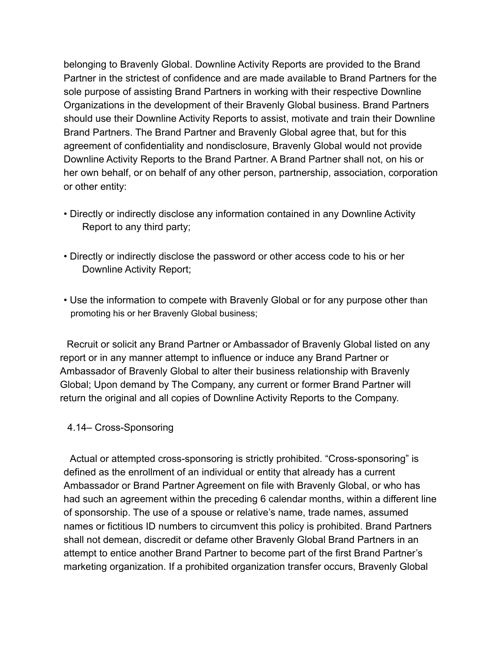belonging to Bravenly Global. Downline Activity Reports are provided to the Brand Partner in the strictest of confidence and are made available to Brand Partners for the sole purpose of assisting Brand Partners in working with their respective Downline Organizations in the development of their Bravenly Global business. Brand Partners should use their Downline Activity Reports to assist, motivate and train their Downline Brand Partners. The Brand Partner and Bravenly Global agree that, but for this agreement of confidentiality and nondisclosure, Bravenly Global would not provide Downline Activity Reports to the Brand Partner. A Brand Partner shall not, on his or her own behalf, or on behalf of any other person, partnership, association, corporation or other entity:

- Directly or indirectly disclose any information contained in any Downline Activity Report to any third party;
- Directly or indirectly disclose the password or other access code to his or her Downline Activity Report;
- Use the information to compete with Bravenly Global or for any purpose other than promoting his or her Bravenly Global business;

Recruit or solicit any Brand Partner or Ambassador of Bravenly Global listed on any report or in any manner attempt to influence or induce any Brand Partner or Ambassador of Bravenly Global to alter their business relationship with Bravenly Global; Upon demand by The Company, any current or former Brand Partner will return the original and all copies of Downline Activity Reports to the Company.

#### 4.14– Cross-Sponsoring

Actual or attempted cross-sponsoring is strictly prohibited. "Cross-sponsoring" is defined as the enrollment of an individual or entity that already has a current Ambassador or Brand Partner Agreement on file with Bravenly Global, or who has had such an agreement within the preceding 6 calendar months, within a different line of sponsorship. The use of a spouse or relative's name, trade names, assumed names or fictitious ID numbers to circumvent this policy is prohibited. Brand Partners shall not demean, discredit or defame other Bravenly Global Brand Partners in an attempt to entice another Brand Partner to become part of the first Brand Partner's marketing organization. If a prohibited organization transfer occurs, Bravenly Global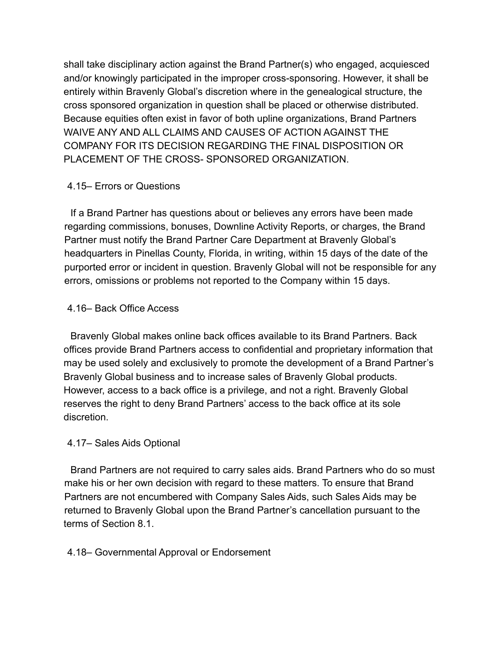shall take disciplinary action against the Brand Partner(s) who engaged, acquiesced and/or knowingly participated in the improper cross-sponsoring. However, it shall be entirely within Bravenly Global's discretion where in the genealogical structure, the cross sponsored organization in question shall be placed or otherwise distributed. Because equities often exist in favor of both upline organizations, Brand Partners WAIVE ANY AND ALL CLAIMS AND CAUSES OF ACTION AGAINST THE COMPANY FOR ITS DECISION REGARDING THE FINAL DISPOSITION OR PLACEMENT OF THE CROSS- SPONSORED ORGANIZATION.

# 4.15– Errors or Questions

If a Brand Partner has questions about or believes any errors have been made regarding commissions, bonuses, Downline Activity Reports, or charges, the Brand Partner must notify the Brand Partner Care Department at Bravenly Global's headquarters in Pinellas County, Florida, in writing, within 15 days of the date of the purported error or incident in question. Bravenly Global will not be responsible for any errors, omissions or problems not reported to the Company within 15 days.

# 4.16– Back Office Access

Bravenly Global makes online back offices available to its Brand Partners. Back offices provide Brand Partners access to confidential and proprietary information that may be used solely and exclusively to promote the development of a Brand Partner's Bravenly Global business and to increase sales of Bravenly Global products. However, access to a back office is a privilege, and not a right. Bravenly Global reserves the right to deny Brand Partners' access to the back office at its sole discretion.

# 4.17– Sales Aids Optional

Brand Partners are not required to carry sales aids. Brand Partners who do so must make his or her own decision with regard to these matters. To ensure that Brand Partners are not encumbered with Company Sales Aids, such Sales Aids may be returned to Bravenly Global upon the Brand Partner's cancellation pursuant to the terms of Section 8.1.

# 4.18– Governmental Approval or Endorsement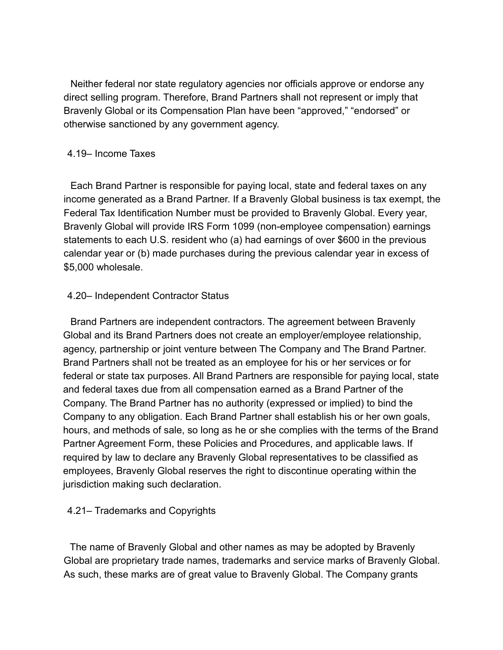Neither federal nor state regulatory agencies nor officials approve or endorse any direct selling program. Therefore, Brand Partners shall not represent or imply that Bravenly Global or its Compensation Plan have been "approved," "endorsed" or otherwise sanctioned by any government agency.

#### 4.19– Income Taxes

Each Brand Partner is responsible for paying local, state and federal taxes on any income generated as a Brand Partner. If a Bravenly Global business is tax exempt, the Federal Tax Identification Number must be provided to Bravenly Global. Every year, Bravenly Global will provide IRS Form 1099 (non-employee compensation) earnings statements to each U.S. resident who (a) had earnings of over \$600 in the previous calendar year or (b) made purchases during the previous calendar year in excess of \$5,000 wholesale.

#### 4.20– Independent Contractor Status

Brand Partners are independent contractors. The agreement between Bravenly Global and its Brand Partners does not create an employer/employee relationship, agency, partnership or joint venture between The Company and The Brand Partner. Brand Partners shall not be treated as an employee for his or her services or for federal or state tax purposes. All Brand Partners are responsible for paying local, state and federal taxes due from all compensation earned as a Brand Partner of the Company. The Brand Partner has no authority (expressed or implied) to bind the Company to any obligation. Each Brand Partner shall establish his or her own goals, hours, and methods of sale, so long as he or she complies with the terms of the Brand Partner Agreement Form, these Policies and Procedures, and applicable laws. If required by law to declare any Bravenly Global representatives to be classified as employees, Bravenly Global reserves the right to discontinue operating within the jurisdiction making such declaration.

# 4.21– Trademarks and Copyrights

The name of Bravenly Global and other names as may be adopted by Bravenly Global are proprietary trade names, trademarks and service marks of Bravenly Global. As such, these marks are of great value to Bravenly Global. The Company grants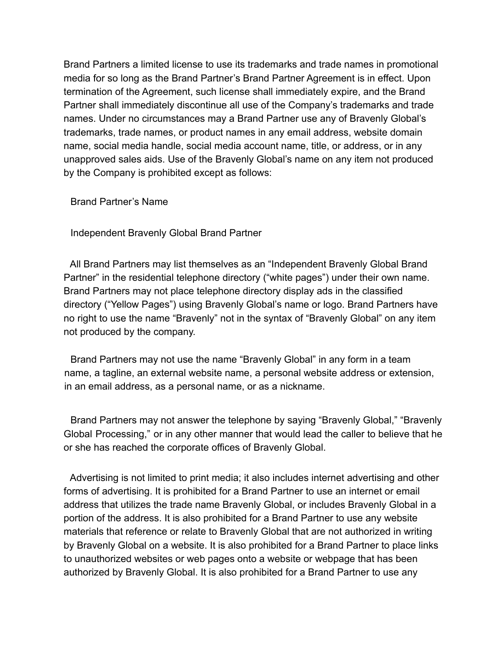Brand Partners a limited license to use its trademarks and trade names in promotional media for so long as the Brand Partner's Brand Partner Agreement is in effect. Upon termination of the Agreement, such license shall immediately expire, and the Brand Partner shall immediately discontinue all use of the Company's trademarks and trade names. Under no circumstances may a Brand Partner use any of Bravenly Global's trademarks, trade names, or product names in any email address, website domain name, social media handle, social media account name, title, or address, or in any unapproved sales aids. Use of the Bravenly Global's name on any item not produced by the Company is prohibited except as follows:

Brand Partner's Name

Independent Bravenly Global Brand Partner

All Brand Partners may list themselves as an "Independent Bravenly Global Brand Partner" in the residential telephone directory ("white pages") under their own name. Brand Partners may not place telephone directory display ads in the classified directory ("Yellow Pages") using Bravenly Global's name or logo. Brand Partners have no right to use the name "Bravenly" not in the syntax of "Bravenly Global" on any item not produced by the company.

Brand Partners may not use the name "Bravenly Global" in any form in a team name, a tagline, an external website name, a personal website address or extension, in an email address, as a personal name, or as a nickname.

Brand Partners may not answer the telephone by saying "Bravenly Global," "Bravenly Global Processing," or in any other manner that would lead the caller to believe that he or she has reached the corporate offices of Bravenly Global.

Advertising is not limited to print media; it also includes internet advertising and other forms of advertising. It is prohibited for a Brand Partner to use an internet or email address that utilizes the trade name Bravenly Global, or includes Bravenly Global in a portion of the address. It is also prohibited for a Brand Partner to use any website materials that reference or relate to Bravenly Global that are not authorized in writing by Bravenly Global on a website. It is also prohibited for a Brand Partner to place links to unauthorized websites or web pages onto a website or webpage that has been authorized by Bravenly Global. It is also prohibited for a Brand Partner to use any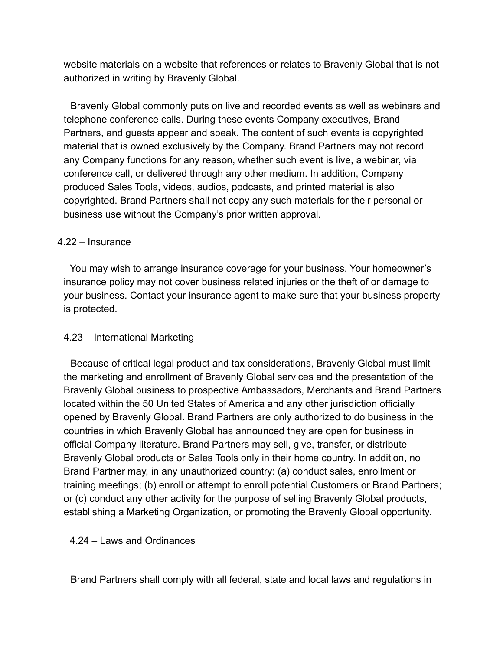website materials on a website that references or relates to Bravenly Global that is not authorized in writing by Bravenly Global.

Bravenly Global commonly puts on live and recorded events as well as webinars and telephone conference calls. During these events Company executives, Brand Partners, and guests appear and speak. The content of such events is copyrighted material that is owned exclusively by the Company. Brand Partners may not record any Company functions for any reason, whether such event is live, a webinar, via conference call, or delivered through any other medium. In addition, Company produced Sales Tools, videos, audios, podcasts, and printed material is also copyrighted. Brand Partners shall not copy any such materials for their personal or business use without the Company's prior written approval.

#### 4.22 – Insurance

You may wish to arrange insurance coverage for your business. Your homeowner's insurance policy may not cover business related injuries or the theft of or damage to your business. Contact your insurance agent to make sure that your business property is protected.

# 4.23 – International Marketing

Because of critical legal product and tax considerations, Bravenly Global must limit the marketing and enrollment of Bravenly Global services and the presentation of the Bravenly Global business to prospective Ambassadors, Merchants and Brand Partners located within the 50 United States of America and any other jurisdiction officially opened by Bravenly Global. Brand Partners are only authorized to do business in the countries in which Bravenly Global has announced they are open for business in official Company literature. Brand Partners may sell, give, transfer, or distribute Bravenly Global products or Sales Tools only in their home country. In addition, no Brand Partner may, in any unauthorized country: (a) conduct sales, enrollment or training meetings; (b) enroll or attempt to enroll potential Customers or Brand Partners; or (c) conduct any other activity for the purpose of selling Bravenly Global products, establishing a Marketing Organization, or promoting the Bravenly Global opportunity.

# 4.24 – Laws and Ordinances

Brand Partners shall comply with all federal, state and local laws and regulations in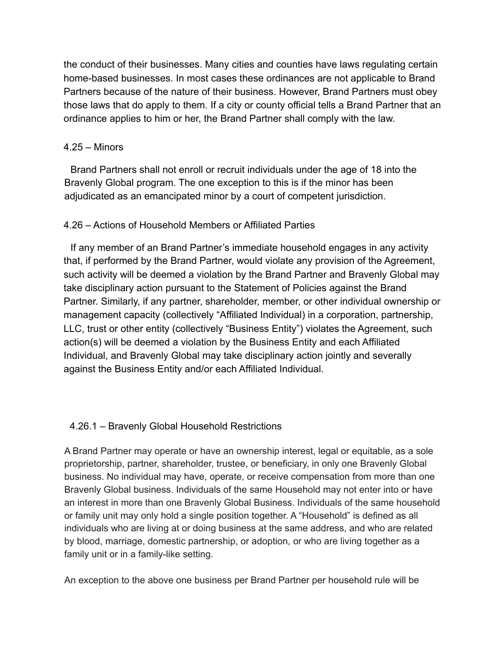the conduct of their businesses. Many cities and counties have laws regulating certain home-based businesses. In most cases these ordinances are not applicable to Brand Partners because of the nature of their business. However, Brand Partners must obey those laws that do apply to them. If a city or county official tells a Brand Partner that an ordinance applies to him or her, the Brand Partner shall comply with the law.

#### 4.25 – Minors

Brand Partners shall not enroll or recruit individuals under the age of 18 into the Bravenly Global program. The one exception to this is if the minor has been adjudicated as an emancipated minor by a court of competent jurisdiction.

# 4.26 – Actions of Household Members or Affiliated Parties

If any member of an Brand Partner's immediate household engages in any activity that, if performed by the Brand Partner, would violate any provision of the Agreement, such activity will be deemed a violation by the Brand Partner and Bravenly Global may take disciplinary action pursuant to the Statement of Policies against the Brand Partner. Similarly, if any partner, shareholder, member, or other individual ownership or management capacity (collectively "Affiliated Individual) in a corporation, partnership, LLC, trust or other entity (collectively "Business Entity") violates the Agreement, such action(s) will be deemed a violation by the Business Entity and each Affiliated Individual, and Bravenly Global may take disciplinary action jointly and severally against the Business Entity and/or each Affiliated Individual.

# 4.26.1 – Bravenly Global Household Restrictions

A Brand Partner may operate or have an ownership interest, legal or equitable, as a sole proprietorship, partner, shareholder, trustee, or beneficiary, in only one Bravenly Global business. No individual may have, operate, or receive compensation from more than one Bravenly Global business. Individuals of the same Household may not enter into or have an interest in more than one Bravenly Global Business. Individuals of the same household or family unit may only hold a single position together. A "Household" is defined as all individuals who are living at or doing business at the same address, and who are related by blood, marriage, domestic partnership, or adoption, or who are living together as a family unit or in a family-like setting.

An exception to the above one business per Brand Partner per household rule will be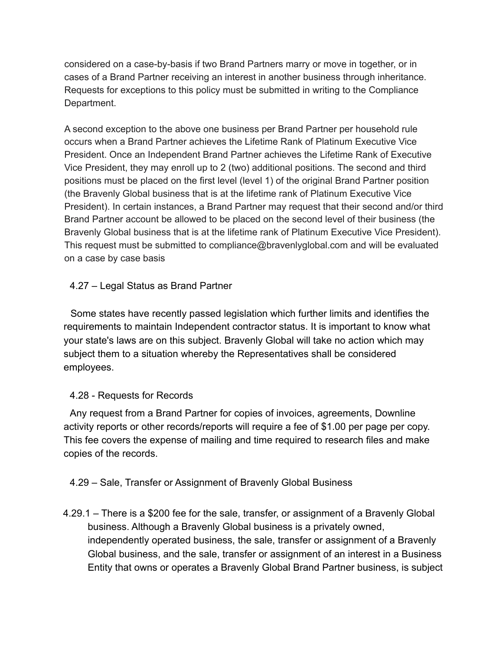considered on a case-by-basis if two Brand Partners marry or move in together, or in cases of a Brand Partner receiving an interest in another business through inheritance. Requests for exceptions to this policy must be submitted in writing to the Compliance Department.

A second exception to the above one business per Brand Partner per household rule occurs when a Brand Partner achieves the Lifetime Rank of Platinum Executive Vice President. Once an Independent Brand Partner achieves the Lifetime Rank of Executive Vice President, they may enroll up to 2 (two) additional positions. The second and third positions must be placed on the first level (level 1) of the original Brand Partner position (the Bravenly Global business that is at the lifetime rank of Platinum Executive Vice President). In certain instances, a Brand Partner may request that their second and/or third Brand Partner account be allowed to be placed on the second level of their business (the Bravenly Global business that is at the lifetime rank of Platinum Executive Vice President). This request must be submitted to compliance@bravenlyglobal.com and will be evaluated on a case by case basis

# 4.27 – Legal Status as Brand Partner

Some states have recently passed legislation which further limits and identifies the requirements to maintain Independent contractor status. It is important to know what your state's laws are on this subject. Bravenly Global will take no action which may subject them to a situation whereby the Representatives shall be considered employees.

# 4.28 - Requests for Records

Any request from a Brand Partner for copies of invoices, agreements, Downline activity reports or other records/reports will require a fee of \$1.00 per page per copy. This fee covers the expense of mailing and time required to research files and make copies of the records.

# 4.29 – Sale, Transfer or Assignment of Bravenly Global Business

4.29.1 – There is a \$200 fee for the sale, transfer, or assignment of a Bravenly Global business. Although a Bravenly Global business is a privately owned, independently operated business, the sale, transfer or assignment of a Bravenly Global business, and the sale, transfer or assignment of an interest in a Business Entity that owns or operates a Bravenly Global Brand Partner business, is subject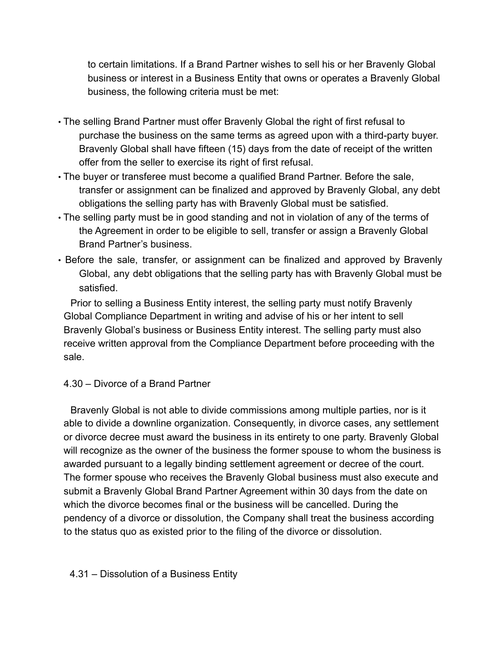to certain limitations. If a Brand Partner wishes to sell his or her Bravenly Global business or interest in a Business Entity that owns or operates a Bravenly Global business, the following criteria must be met:

- The selling Brand Partner must offer Bravenly Global the right of first refusal to purchase the business on the same terms as agreed upon with a third-party buyer. Bravenly Global shall have fifteen (15) days from the date of receipt of the written offer from the seller to exercise its right of first refusal.
- The buyer or transferee must become a qualified Brand Partner. Before the sale, transfer or assignment can be finalized and approved by Bravenly Global, any debt obligations the selling party has with Bravenly Global must be satisfied.
- The selling party must be in good standing and not in violation of any of the terms of the Agreement in order to be eligible to sell, transfer or assign a Bravenly Global Brand Partner's business.
- Before the sale, transfer, or assignment can be finalized and approved by Bravenly Global, any debt obligations that the selling party has with Bravenly Global must be satisfied.

Prior to selling a Business Entity interest, the selling party must notify Bravenly Global Compliance Department in writing and advise of his or her intent to sell Bravenly Global's business or Business Entity interest. The selling party must also receive written approval from the Compliance Department before proceeding with the sale.

4.30 – Divorce of a Brand Partner

Bravenly Global is not able to divide commissions among multiple parties, nor is it able to divide a downline organization. Consequently, in divorce cases, any settlement or divorce decree must award the business in its entirety to one party. Bravenly Global will recognize as the owner of the business the former spouse to whom the business is awarded pursuant to a legally binding settlement agreement or decree of the court. The former spouse who receives the Bravenly Global business must also execute and submit a Bravenly Global Brand Partner Agreement within 30 days from the date on which the divorce becomes final or the business will be cancelled. During the pendency of a divorce or dissolution, the Company shall treat the business according to the status quo as existed prior to the filing of the divorce or dissolution.

# 4.31 – Dissolution of a Business Entity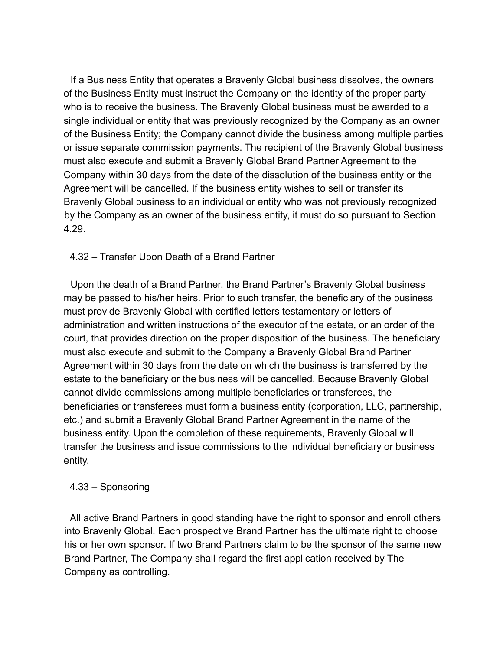If a Business Entity that operates a Bravenly Global business dissolves, the owners of the Business Entity must instruct the Company on the identity of the proper party who is to receive the business. The Bravenly Global business must be awarded to a single individual or entity that was previously recognized by the Company as an owner of the Business Entity; the Company cannot divide the business among multiple parties or issue separate commission payments. The recipient of the Bravenly Global business must also execute and submit a Bravenly Global Brand Partner Agreement to the Company within 30 days from the date of the dissolution of the business entity or the Agreement will be cancelled. If the business entity wishes to sell or transfer its Bravenly Global business to an individual or entity who was not previously recognized by the Company as an owner of the business entity, it must do so pursuant to Section 4.29.

4.32 – Transfer Upon Death of a Brand Partner

Upon the death of a Brand Partner, the Brand Partner's Bravenly Global business may be passed to his/her heirs. Prior to such transfer, the beneficiary of the business must provide Bravenly Global with certified letters testamentary or letters of administration and written instructions of the executor of the estate, or an order of the court, that provides direction on the proper disposition of the business. The beneficiary must also execute and submit to the Company a Bravenly Global Brand Partner Agreement within 30 days from the date on which the business is transferred by the estate to the beneficiary or the business will be cancelled. Because Bravenly Global cannot divide commissions among multiple beneficiaries or transferees, the beneficiaries or transferees must form a business entity (corporation, LLC, partnership, etc.) and submit a Bravenly Global Brand Partner Agreement in the name of the business entity. Upon the completion of these requirements, Bravenly Global will transfer the business and issue commissions to the individual beneficiary or business entity.

# 4.33 – Sponsoring

All active Brand Partners in good standing have the right to sponsor and enroll others into Bravenly Global. Each prospective Brand Partner has the ultimate right to choose his or her own sponsor. If two Brand Partners claim to be the sponsor of the same new Brand Partner, The Company shall regard the first application received by The Company as controlling.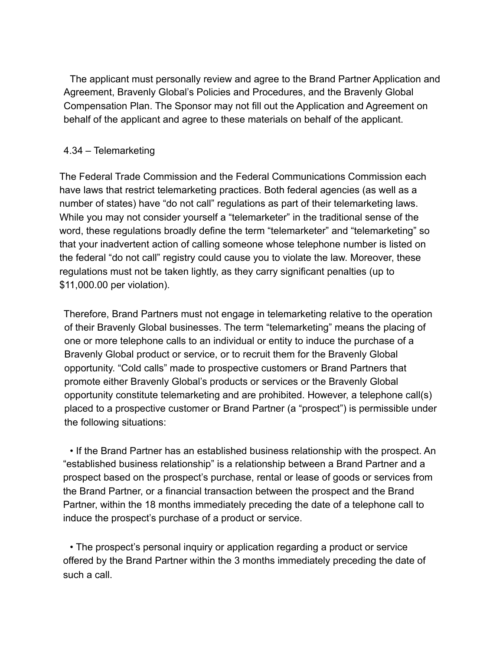The applicant must personally review and agree to the Brand Partner Application and Agreement, Bravenly Global's Policies and Procedures, and the Bravenly Global Compensation Plan. The Sponsor may not fill out the Application and Agreement on behalf of the applicant and agree to these materials on behalf of the applicant.

# 4.34 – Telemarketing

The Federal Trade Commission and the Federal Communications Commission each have laws that restrict telemarketing practices. Both federal agencies (as well as a number of states) have "do not call" regulations as part of their telemarketing laws. While you may not consider yourself a "telemarketer" in the traditional sense of the word, these regulations broadly define the term "telemarketer" and "telemarketing" so that your inadvertent action of calling someone whose telephone number is listed on the federal "do not call" registry could cause you to violate the law. Moreover, these regulations must not be taken lightly, as they carry significant penalties (up to \$11,000.00 per violation).

Therefore, Brand Partners must not engage in telemarketing relative to the operation of their Bravenly Global businesses. The term "telemarketing" means the placing of one or more telephone calls to an individual or entity to induce the purchase of a Bravenly Global product or service, or to recruit them for the Bravenly Global opportunity. "Cold calls" made to prospective customers or Brand Partners that promote either Bravenly Global's products or services or the Bravenly Global opportunity constitute telemarketing and are prohibited. However, a telephone call(s) placed to a prospective customer or Brand Partner (a "prospect") is permissible under the following situations:

• If the Brand Partner has an established business relationship with the prospect. An "established business relationship" is a relationship between a Brand Partner and a prospect based on the prospect's purchase, rental or lease of goods or services from the Brand Partner, or a financial transaction between the prospect and the Brand Partner, within the 18 months immediately preceding the date of a telephone call to induce the prospect's purchase of a product or service.

• The prospect's personal inquiry or application regarding a product or service offered by the Brand Partner within the 3 months immediately preceding the date of such a call.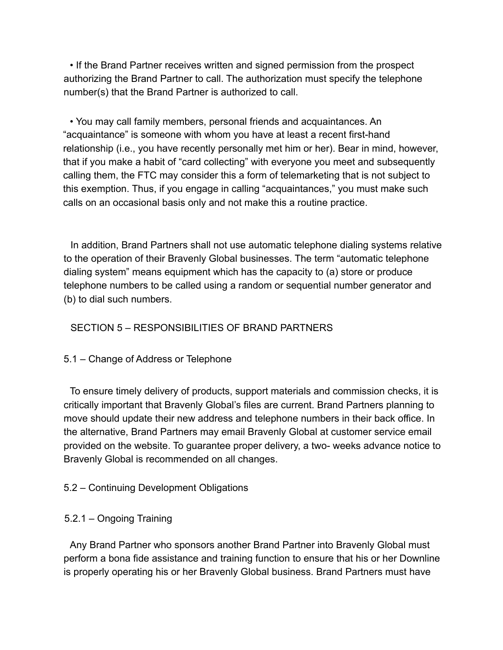• If the Brand Partner receives written and signed permission from the prospect authorizing the Brand Partner to call. The authorization must specify the telephone number(s) that the Brand Partner is authorized to call.

• You may call family members, personal friends and acquaintances. An "acquaintance" is someone with whom you have at least a recent first-hand relationship (i.e., you have recently personally met him or her). Bear in mind, however, that if you make a habit of "card collecting" with everyone you meet and subsequently calling them, the FTC may consider this a form of telemarketing that is not subject to this exemption. Thus, if you engage in calling "acquaintances," you must make such calls on an occasional basis only and not make this a routine practice.

In addition, Brand Partners shall not use automatic telephone dialing systems relative to the operation of their Bravenly Global businesses. The term "automatic telephone dialing system" means equipment which has the capacity to (a) store or produce telephone numbers to be called using a random or sequential number generator and (b) to dial such numbers.

# SECTION 5 – RESPONSIBILITIES OF BRAND PARTNERS

#### 5.1 – Change of Address or Telephone

To ensure timely delivery of products, support materials and commission checks, it is critically important that Bravenly Global's files are current. Brand Partners planning to move should update their new address and telephone numbers in their back office. In the alternative, Brand Partners may email Bravenly Global at customer service email provided on the website. To guarantee proper delivery, a two- weeks advance notice to Bravenly Global is recommended on all changes.

# 5.2 – Continuing Development Obligations

# 5.2.1 – Ongoing Training

Any Brand Partner who sponsors another Brand Partner into Bravenly Global must perform a bona fide assistance and training function to ensure that his or her Downline is properly operating his or her Bravenly Global business. Brand Partners must have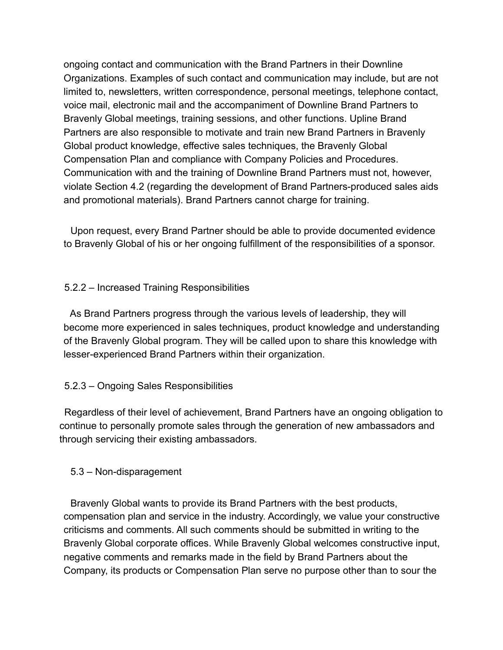ongoing contact and communication with the Brand Partners in their Downline Organizations. Examples of such contact and communication may include, but are not limited to, newsletters, written correspondence, personal meetings, telephone contact, voice mail, electronic mail and the accompaniment of Downline Brand Partners to Bravenly Global meetings, training sessions, and other functions. Upline Brand Partners are also responsible to motivate and train new Brand Partners in Bravenly Global product knowledge, effective sales techniques, the Bravenly Global Compensation Plan and compliance with Company Policies and Procedures. Communication with and the training of Downline Brand Partners must not, however, violate Section 4.2 (regarding the development of Brand Partners-produced sales aids and promotional materials). Brand Partners cannot charge for training.

Upon request, every Brand Partner should be able to provide documented evidence to Bravenly Global of his or her ongoing fulfillment of the responsibilities of a sponsor.

# 5.2.2 – Increased Training Responsibilities

As Brand Partners progress through the various levels of leadership, they will become more experienced in sales techniques, product knowledge and understanding of the Bravenly Global program. They will be called upon to share this knowledge with lesser-experienced Brand Partners within their organization.

#### 5.2.3 – Ongoing Sales Responsibilities

Regardless of their level of achievement, Brand Partners have an ongoing obligation to continue to personally promote sales through the generation of new ambassadors and through servicing their existing ambassadors.

#### 5.3 – Non-disparagement

Bravenly Global wants to provide its Brand Partners with the best products, compensation plan and service in the industry. Accordingly, we value your constructive criticisms and comments. All such comments should be submitted in writing to the Bravenly Global corporate offices. While Bravenly Global welcomes constructive input, negative comments and remarks made in the field by Brand Partners about the Company, its products or Compensation Plan serve no purpose other than to sour the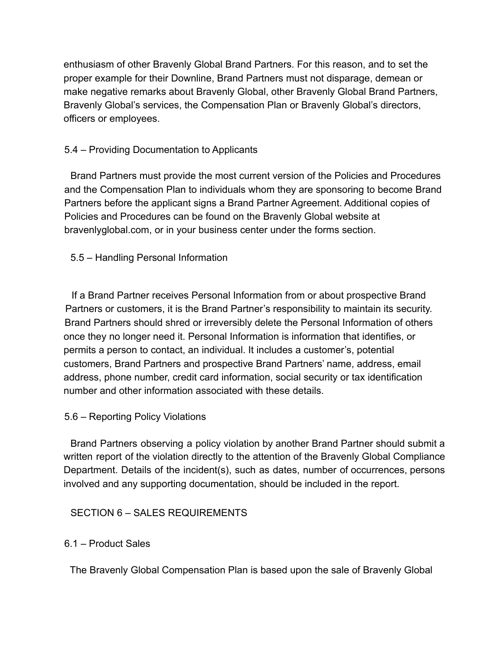enthusiasm of other Bravenly Global Brand Partners. For this reason, and to set the proper example for their Downline, Brand Partners must not disparage, demean or make negative remarks about Bravenly Global, other Bravenly Global Brand Partners, Bravenly Global's services, the Compensation Plan or Bravenly Global's directors, officers or employees.

# 5.4 – Providing Documentation to Applicants

Brand Partners must provide the most current version of the Policies and Procedures and the Compensation Plan to individuals whom they are sponsoring to become Brand Partners before the applicant signs a Brand Partner Agreement. Additional copies of Policies and Procedures can be found on the Bravenly Global website at bravenlyglobal.com, or in your business center under the forms section.

# 5.5 – Handling Personal Information

If a Brand Partner receives Personal Information from or about prospective Brand Partners or customers, it is the Brand Partner's responsibility to maintain its security. Brand Partners should shred or irreversibly delete the Personal Information of others once they no longer need it. Personal Information is information that identifies, or permits a person to contact, an individual. It includes a customer's, potential customers, Brand Partners and prospective Brand Partners' name, address, email address, phone number, credit card information, social security or tax identification number and other information associated with these details.

# 5.6 – Reporting Policy Violations

Brand Partners observing a policy violation by another Brand Partner should submit a written report of the violation directly to the attention of the Bravenly Global Compliance Department. Details of the incident(s), such as dates, number of occurrences, persons involved and any supporting documentation, should be included in the report.

# SECTION 6 – SALES REQUIREMENTS

# 6.1 – Product Sales

The Bravenly Global Compensation Plan is based upon the sale of Bravenly Global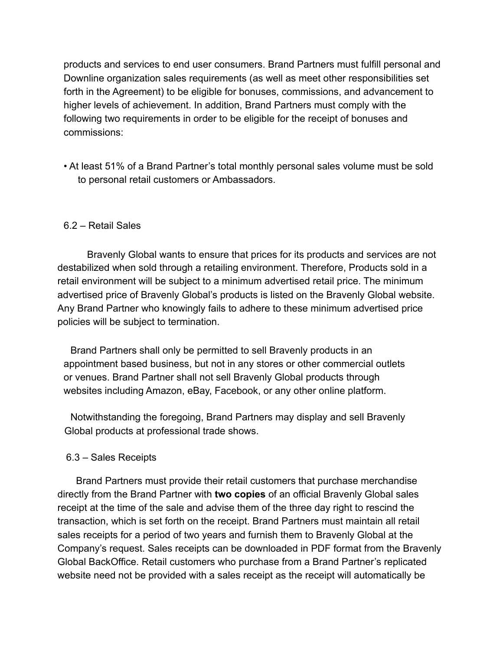products and services to end user consumers. Brand Partners must fulfill personal and Downline organization sales requirements (as well as meet other responsibilities set forth in the Agreement) to be eligible for bonuses, commissions, and advancement to higher levels of achievement. In addition, Brand Partners must comply with the following two requirements in order to be eligible for the receipt of bonuses and commissions:

• At least 51% of a Brand Partner's total monthly personal sales volume must be sold to personal retail customers or Ambassadors.

#### 6.2 – Retail Sales

Bravenly Global wants to ensure that prices for its products and services are not destabilized when sold through a retailing environment. Therefore, Products sold in a retail environment will be subject to a minimum advertised retail price. The minimum advertised price of Bravenly Global's products is listed on the Bravenly Global website. Any Brand Partner who knowingly fails to adhere to these minimum advertised price policies will be subject to termination.

Brand Partners shall only be permitted to sell Bravenly products in an appointment based business, but not in any stores or other commercial outlets or venues. Brand Partner shall not sell Bravenly Global products through websites including Amazon, eBay, Facebook, or any other online platform.

Notwithstanding the foregoing, Brand Partners may display and sell Bravenly Global products at professional trade shows.

#### 6.3 – Sales Receipts

Brand Partners must provide their retail customers that purchase merchandise directly from the Brand Partner with **two copies** of an official Bravenly Global sales receipt at the time of the sale and advise them of the three day right to rescind the transaction, which is set forth on the receipt. Brand Partners must maintain all retail sales receipts for a period of two years and furnish them to Bravenly Global at the Company's request. Sales receipts can be downloaded in PDF format from the Bravenly Global BackOffice. Retail customers who purchase from a Brand Partner's replicated website need not be provided with a sales receipt as the receipt will automatically be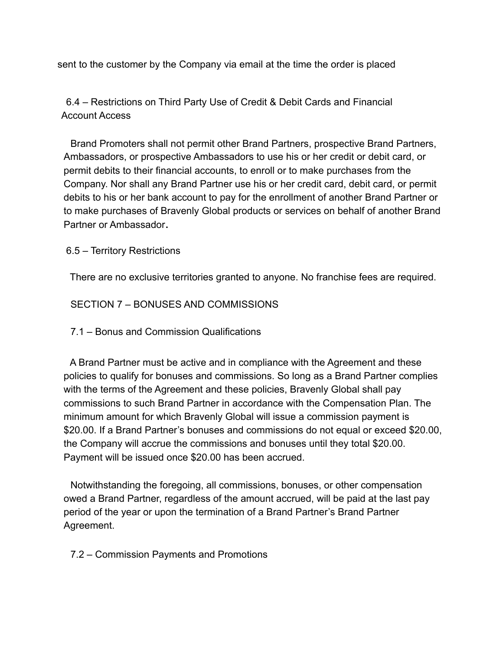sent to the customer by the Company via email at the time the order is placed

6.4 – Restrictions on Third Party Use of Credit & Debit Cards and Financial Account Access

Brand Promoters shall not permit other Brand Partners, prospective Brand Partners, Ambassadors, or prospective Ambassadors to use his or her credit or debit card, or permit debits to their financial accounts, to enroll or to make purchases from the Company. Nor shall any Brand Partner use his or her credit card, debit card, or permit debits to his or her bank account to pay for the enrollment of another Brand Partner or to make purchases of Bravenly Global products or services on behalf of another Brand Partner or Ambassador**.**

#### 6.5 – Territory Restrictions

There are no exclusive territories granted to anyone. No franchise fees are required.

SECTION 7 – BONUSES AND COMMISSIONS

7.1 – Bonus and Commission Qualifications

A Brand Partner must be active and in compliance with the Agreement and these policies to qualify for bonuses and commissions. So long as a Brand Partner complies with the terms of the Agreement and these policies, Bravenly Global shall pay commissions to such Brand Partner in accordance with the Compensation Plan. The minimum amount for which Bravenly Global will issue a commission payment is \$20.00. If a Brand Partner's bonuses and commissions do not equal or exceed \$20.00, the Company will accrue the commissions and bonuses until they total \$20.00. Payment will be issued once \$20.00 has been accrued.

Notwithstanding the foregoing, all commissions, bonuses, or other compensation owed a Brand Partner, regardless of the amount accrued, will be paid at the last pay period of the year or upon the termination of a Brand Partner's Brand Partner Agreement.

7.2 – Commission Payments and Promotions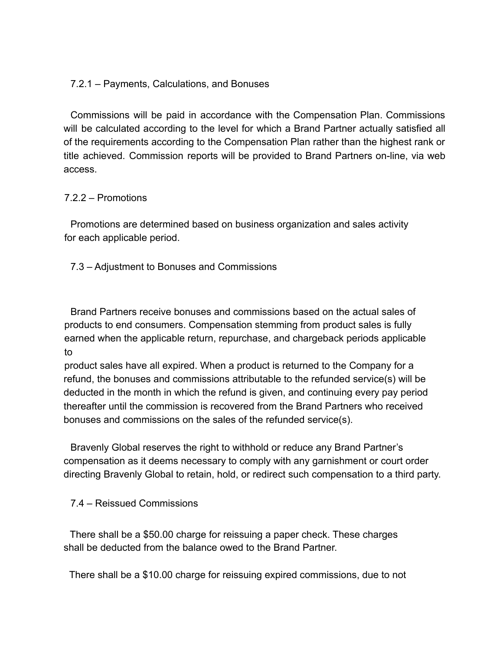#### 7.2.1 – Payments, Calculations, and Bonuses

Commissions will be paid in accordance with the Compensation Plan. Commissions will be calculated according to the level for which a Brand Partner actually satisfied all of the requirements according to the Compensation Plan rather than the highest rank or title achieved. Commission reports will be provided to Brand Partners on-line, via web access.

#### 7.2.2 – Promotions

Promotions are determined based on business organization and sales activity for each applicable period.

7.3 – Adjustment to Bonuses and Commissions

Brand Partners receive bonuses and commissions based on the actual sales of products to end consumers. Compensation stemming from product sales is fully earned when the applicable return, repurchase, and chargeback periods applicable to

product sales have all expired. When a product is returned to the Company for a refund, the bonuses and commissions attributable to the refunded service(s) will be deducted in the month in which the refund is given, and continuing every pay period thereafter until the commission is recovered from the Brand Partners who received bonuses and commissions on the sales of the refunded service(s).

Bravenly Global reserves the right to withhold or reduce any Brand Partner's compensation as it deems necessary to comply with any garnishment or court order directing Bravenly Global to retain, hold, or redirect such compensation to a third party.

7.4 – Reissued Commissions

There shall be a \$50.00 charge for reissuing a paper check. These charges shall be deducted from the balance owed to the Brand Partner.

There shall be a \$10.00 charge for reissuing expired commissions, due to not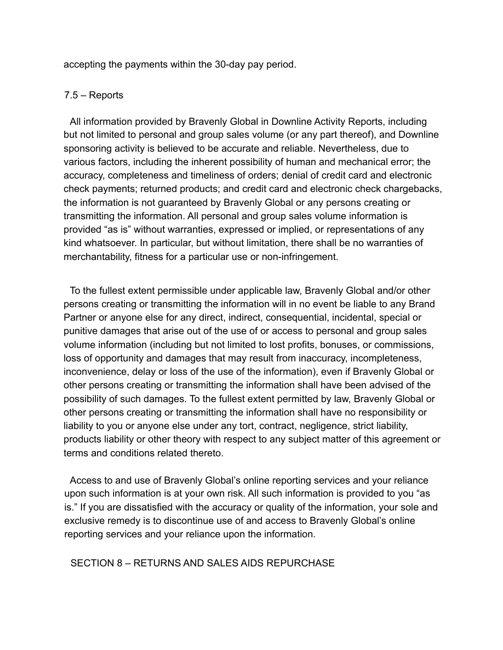accepting the payments within the 30-day pay period.

#### 7.5 – Reports

All information provided by Bravenly Global in Downline Activity Reports, including but not limited to personal and group sales volume (or any part thereof), and Downline sponsoring activity is believed to be accurate and reliable. Nevertheless, due to various factors, including the inherent possibility of human and mechanical error; the accuracy, completeness and timeliness of orders; denial of credit card and electronic check payments; returned products; and credit card and electronic check chargebacks, the information is not guaranteed by Bravenly Global or any persons creating or transmitting the information. All personal and group sales volume information is provided "as is" without warranties, expressed or implied, or representations of any kind whatsoever. In particular, but without limitation, there shall be no warranties of merchantability, fitness for a particular use or non-infringement.

To the fullest extent permissible under applicable law, Bravenly Global and/or other persons creating or transmitting the information will in no event be liable to any Brand Partner or anyone else for any direct, indirect, consequential, incidental, special or punitive damages that arise out of the use of or access to personal and group sales volume information (including but not limited to lost profits, bonuses, or commissions, loss of opportunity and damages that may result from inaccuracy, incompleteness, inconvenience, delay or loss of the use of the information), even if Bravenly Global or other persons creating or transmitting the information shall have been advised of the possibility of such damages. To the fullest extent permitted by law, Bravenly Global or other persons creating or transmitting the information shall have no responsibility or liability to you or anyone else under any tort, contract, negligence, strict liability, products liability or other theory with respect to any subject matter of this agreement or terms and conditions related thereto.

Access to and use of Bravenly Global's online reporting services and your reliance upon such information is at your own risk. All such information is provided to you "as is." If you are dissatisfied with the accuracy or quality of the information, your sole and exclusive remedy is to discontinue use of and access to Bravenly Global's online reporting services and your reliance upon the information.

#### SECTION 8 – RETURNS AND SALES AIDS REPURCHASE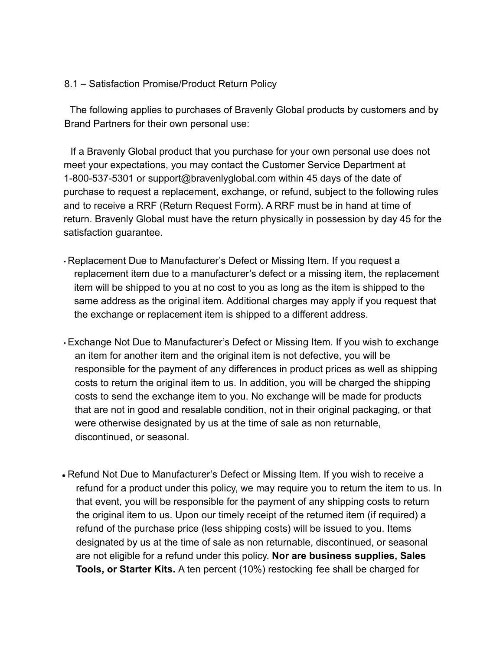#### 8.1 – Satisfaction Promise/Product Return Policy

The following applies to purchases of Bravenly Global products by customers and by Brand Partners for their own personal use:

If a Bravenly Global product that you purchase for your own personal use does not meet your expectations, you may contact the Customer Service Department at 1-800-537-5301 or support@bravenlyglobal.com within 45 days of the date of purchase to request a replacement, exchange, or refund, subject to the following rules and to receive a RRF (Return Request Form). A RRF must be in hand at time of return. Bravenly Global must have the return physically in possession by day 45 for the satisfaction guarantee.

- Replacement Due to Manufacturer's Defect or Missing Item. If you request a replacement item due to a manufacturer's defect or a missing item, the replacement item will be shipped to you at no cost to you as long as the item is shipped to the same address as the original item. Additional charges may apply if you request that the exchange or replacement item is shipped to a different address.
- Exchange Not Due to Manufacturer's Defect or Missing Item. If you wish to exchange an item for another item and the original item is not defective, you will be responsible for the payment of any differences in product prices as well as shipping costs to return the original item to us. In addition, you will be charged the shipping costs to send the exchange item to you. No exchange will be made for products that are not in good and resalable condition, not in their original packaging, or that were otherwise designated by us at the time of sale as non returnable, discontinued, or seasonal.
- Refund Not Due to Manufacturer's Defect or Missing Item. If you wish to receive a refund for a product under this policy, we may require you to return the item to us. In that event, you will be responsible for the payment of any shipping costs to return the original item to us. Upon our timely receipt of the returned item (if required) a refund of the purchase price (less shipping costs) will be issued to you. Items designated by us at the time of sale as non returnable, discontinued, or seasonal are not eligible for a refund under this policy. **Nor are business supplies, Sales Tools, or Starter Kits.** A ten percent (10%) restocking fee shall be charged for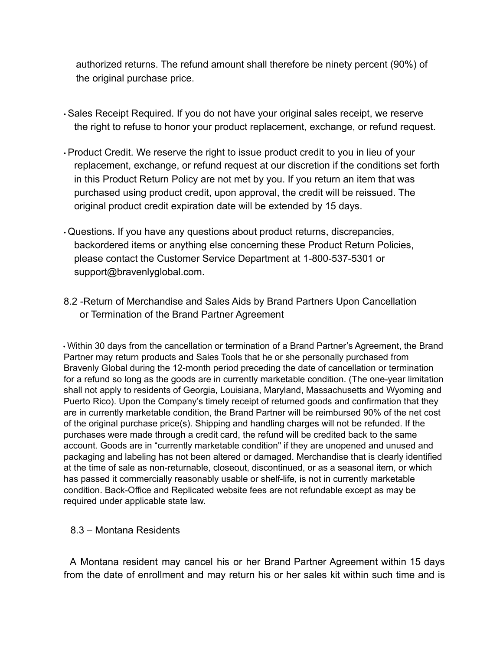authorized returns. The refund amount shall therefore be ninety percent (90%) of the original purchase price.

- Sales Receipt Required. If you do not have your original sales receipt, we reserve the right to refuse to honor your product replacement, exchange, or refund request.
- Product Credit. We reserve the right to issue product credit to you in lieu of your replacement, exchange, or refund request at our discretion if the conditions set forth in this Product Return Policy are not met by you. If you return an item that was purchased using product credit, upon approval, the credit will be reissued. The original product credit expiration date will be extended by 15 days.
- Questions. If you have any questions about product returns, discrepancies, backordered items or anything else concerning these Product Return Policies, please contact the Customer Service Department at 1-800-537-5301 or support@bravenlyglobal.com.
- 8.2 -Return of Merchandise and Sales Aids by Brand Partners Upon Cancellation or Termination of the Brand Partner Agreement

• Within 30 days from the cancellation or termination of a Brand Partner's Agreement, the Brand Partner may return products and Sales Tools that he or she personally purchased from Bravenly Global during the 12-month period preceding the date of cancellation or termination for a refund so long as the goods are in currently marketable condition. (The one-year limitation shall not apply to residents of Georgia, Louisiana, Maryland, Massachusetts and Wyoming and Puerto Rico). Upon the Company's timely receipt of returned goods and confirmation that they are in currently marketable condition, the Brand Partner will be reimbursed 90% of the net cost of the original purchase price(s). Shipping and handling charges will not be refunded. If the purchases were made through a credit card, the refund will be credited back to the same account. Goods are in "currently marketable condition" if they are unopened and unused and packaging and labeling has not been altered or damaged. Merchandise that is clearly identified at the time of sale as non-returnable, closeout, discontinued, or as a seasonal item, or which has passed it commercially reasonably usable or shelf-life, is not in currently marketable condition. Back-Office and Replicated website fees are not refundable except as may be required under applicable state law.

# 8.3 – Montana Residents

A Montana resident may cancel his or her Brand Partner Agreement within 15 days from the date of enrollment and may return his or her sales kit within such time and is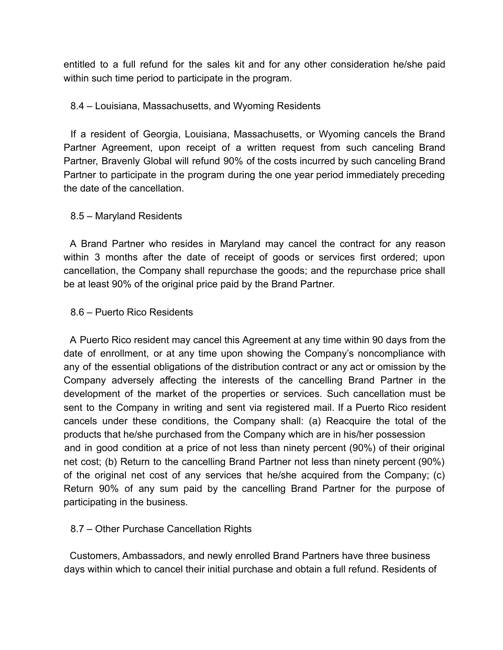entitled to a full refund for the sales kit and for any other consideration he/she paid within such time period to participate in the program.

# 8.4 – Louisiana, Massachusetts, and Wyoming Residents

If a resident of Georgia, Louisiana, Massachusetts, or Wyoming cancels the Brand Partner Agreement, upon receipt of a written request from such canceling Brand Partner, Bravenly Global will refund 90% of the costs incurred by such canceling Brand Partner to participate in the program during the one year period immediately preceding the date of the cancellation.

# 8.5 – Maryland Residents

A Brand Partner who resides in Maryland may cancel the contract for any reason within 3 months after the date of receipt of goods or services first ordered; upon cancellation, the Company shall repurchase the goods; and the repurchase price shall be at least 90% of the original price paid by the Brand Partner.

# 8.6 – Puerto Rico Residents

A Puerto Rico resident may cancel this Agreement at any time within 90 days from the date of enrollment, or at any time upon showing the Company's noncompliance with any of the essential obligations of the distribution contract or any act or omission by the Company adversely affecting the interests of the cancelling Brand Partner in the development of the market of the properties or services. Such cancellation must be sent to the Company in writing and sent via registered mail. If a Puerto Rico resident cancels under these conditions, the Company shall: (a) Reacquire the total of the products that he/she purchased from the Company which are in his/her possession and in good condition at a price of not less than ninety percent (90%) of their original net cost; (b) Return to the cancelling Brand Partner not less than ninety percent (90%) of the original net cost of any services that he/she acquired from the Company; (c) Return 90% of any sum paid by the cancelling Brand Partner for the purpose of participating in the business.

# 8.7 – Other Purchase Cancellation Rights

Customers, Ambassadors, and newly enrolled Brand Partners have three business days within which to cancel their initial purchase and obtain a full refund. Residents of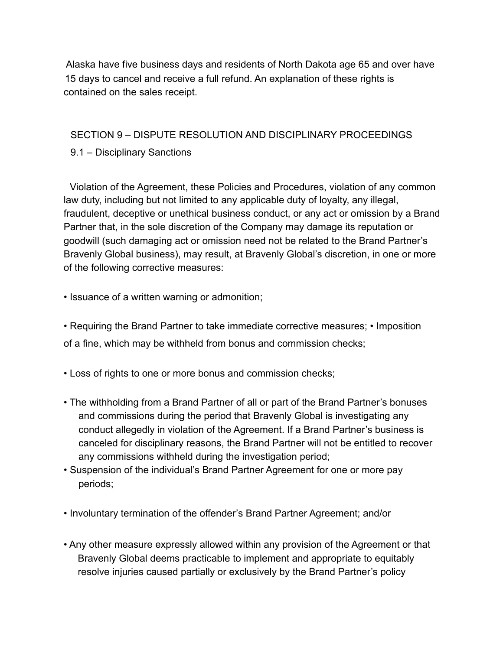Alaska have five business days and residents of North Dakota age 65 and over have 15 days to cancel and receive a full refund. An explanation of these rights is contained on the sales receipt.

# SECTION 9 – DISPUTE RESOLUTION AND DISCIPLINARY PROCEEDINGS

# 9.1 – Disciplinary Sanctions

Violation of the Agreement, these Policies and Procedures, violation of any common law duty, including but not limited to any applicable duty of loyalty, any illegal, fraudulent, deceptive or unethical business conduct, or any act or omission by a Brand Partner that, in the sole discretion of the Company may damage its reputation or goodwill (such damaging act or omission need not be related to the Brand Partner's Bravenly Global business), may result, at Bravenly Global's discretion, in one or more of the following corrective measures:

• Issuance of a written warning or admonition;

• Requiring the Brand Partner to take immediate corrective measures; • Imposition of a fine, which may be withheld from bonus and commission checks;

• Loss of rights to one or more bonus and commission checks;

- The withholding from a Brand Partner of all or part of the Brand Partner's bonuses and commissions during the period that Bravenly Global is investigating any conduct allegedly in violation of the Agreement. If a Brand Partner's business is canceled for disciplinary reasons, the Brand Partner will not be entitled to recover any commissions withheld during the investigation period;
- Suspension of the individual's Brand Partner Agreement for one or more pay periods;
- Involuntary termination of the offender's Brand Partner Agreement; and/or
- Any other measure expressly allowed within any provision of the Agreement or that Bravenly Global deems practicable to implement and appropriate to equitably resolve injuries caused partially or exclusively by the Brand Partner's policy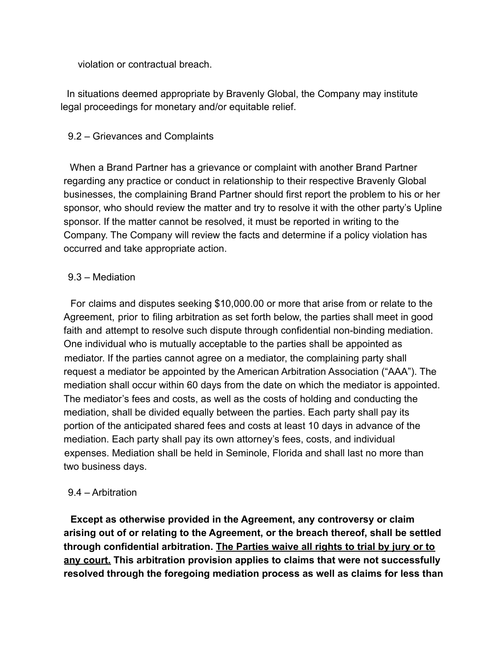violation or contractual breach.

In situations deemed appropriate by Bravenly Global, the Company may institute legal proceedings for monetary and/or equitable relief.

# 9.2 – Grievances and Complaints

When a Brand Partner has a grievance or complaint with another Brand Partner regarding any practice or conduct in relationship to their respective Bravenly Global businesses, the complaining Brand Partner should first report the problem to his or her sponsor, who should review the matter and try to resolve it with the other party's Upline sponsor. If the matter cannot be resolved, it must be reported in writing to the Company. The Company will review the facts and determine if a policy violation has occurred and take appropriate action.

#### 9.3 – Mediation

For claims and disputes seeking \$10,000.00 or more that arise from or relate to the Agreement, prior to filing arbitration as set forth below, the parties shall meet in good faith and attempt to resolve such dispute through confidential non-binding mediation. One individual who is mutually acceptable to the parties shall be appointed as mediator. If the parties cannot agree on a mediator, the complaining party shall request a mediator be appointed by the American Arbitration Association ("AAA"). The mediation shall occur within 60 days from the date on which the mediator is appointed. The mediator's fees and costs, as well as the costs of holding and conducting the mediation, shall be divided equally between the parties. Each party shall pay its portion of the anticipated shared fees and costs at least 10 days in advance of the mediation. Each party shall pay its own attorney's fees, costs, and individual expenses. Mediation shall be held in Seminole, Florida and shall last no more than two business days.

# 9.4 – Arbitration

**Except as otherwise provided in the Agreement, any controversy or claim arising out of or relating to the Agreement, or the breach thereof, shall be settled through confidential arbitration. The Parties waive all rights to trial by jury or to any court. This arbitration provision applies to claims that were not successfully resolved through the foregoing mediation process as well as claims for less than**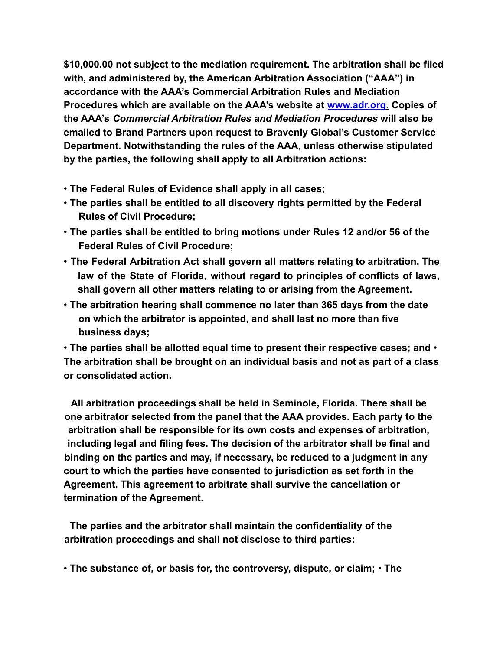**\$10,000.00 not subject to the mediation requirement. The arbitration shall be filed with, and administered by, the American Arbitration Association ("AAA") in accordance with the AAA's Commercial Arbitration Rules and Mediation Procedures which are available on the AAA's website at www.adr.org. Copies of the AAA's** *Commercial Arbitration Rules and Mediation Procedures* **will also be emailed to Brand Partners upon request to Bravenly Global's Customer Service Department. Notwithstanding the rules of the AAA, unless otherwise stipulated by the parties, the following shall apply to all Arbitration actions:**

- **The Federal Rules of Evidence shall apply in all cases;**
- **The parties shall be entitled to all discovery rights permitted by the Federal Rules of Civil Procedure;**
- **The parties shall be entitled to bring motions under Rules 12 and/or 56 of the Federal Rules of Civil Procedure;**
- **The Federal Arbitration Act shall govern all matters relating to arbitration. The law of the State of Florida, without regard to principles of conflicts of laws, shall govern all other matters relating to or arising from the Agreement.**
- **The arbitration hearing shall commence no later than 365 days from the date on which the arbitrator is appointed, and shall last no more than five business days;**

• **The parties shall be allotted equal time to present their respective cases; and** • **The arbitration shall be brought on an individual basis and not as part of a class or consolidated action.**

**All arbitration proceedings shall be held in Seminole, Florida. There shall be one arbitrator selected from the panel that the AAA provides. Each party to the arbitration shall be responsible for its own costs and expenses of arbitration, including legal and filing fees. The decision of the arbitrator shall be final and binding on the parties and may, if necessary, be reduced to a judgment in any court to which the parties have consented to jurisdiction as set forth in the Agreement. This agreement to arbitrate shall survive the cancellation or termination of the Agreement.**

**The parties and the arbitrator shall maintain the confidentiality of the arbitration proceedings and shall not disclose to third parties:**

• **The substance of, or basis for, the controversy, dispute, or claim;** • **The**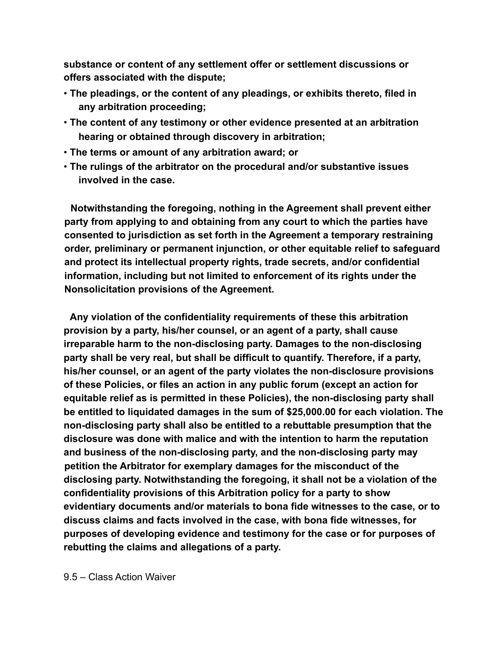**substance or content of any settlement offer or settlement discussions or offers associated with the dispute;**

- **The pleadings, or the content of any pleadings, or exhibits thereto, filed in any arbitration proceeding;**
- **The content of any testimony or other evidence presented at an arbitration hearing or obtained through discovery in arbitration;**
- **The terms or amount of any arbitration award; or**
- **The rulings of the arbitrator on the procedural and/or substantive issues involved in the case.**

**Notwithstanding the foregoing, nothing in the Agreement shall prevent either party from applying to and obtaining from any court to which the parties have consented to jurisdiction as set forth in the Agreement a temporary restraining order, preliminary or permanent injunction, or other equitable relief to safeguard and protect its intellectual property rights, trade secrets, and/or confidential information, including but not limited to enforcement of its rights under the Nonsolicitation provisions of the Agreement.**

**Any violation of the confidentiality requirements of these this arbitration provision by a party, his/her counsel, or an agent of a party, shall cause irreparable harm to the non-disclosing party. Damages to the non-disclosing party shall be very real, but shall be difficult to quantify. Therefore, if a party, his/her counsel, or an agent of the party violates the non-disclosure provisions of these Policies, or files an action in any public forum (except an action for equitable relief as is permitted in these Policies), the non-disclosing party shall be entitled to liquidated damages in the sum of \$25,000.00 for each violation. The non-disclosing party shall also be entitled to a rebuttable presumption that the disclosure was done with malice and with the intention to harm the reputation and business of the non-disclosing party, and the non-disclosing party may petition the Arbitrator for exemplary damages for the misconduct of the disclosing party. Notwithstanding the foregoing, it shall not be a violation of the confidentiality provisions of this Arbitration policy for a party to show evidentiary documents and/or materials to bona fide witnesses to the case, or to discuss claims and facts involved in the case, with bona fide witnesses, for purposes of developing evidence and testimony for the case or for purposes of rebutting the claims and allegations of a party.**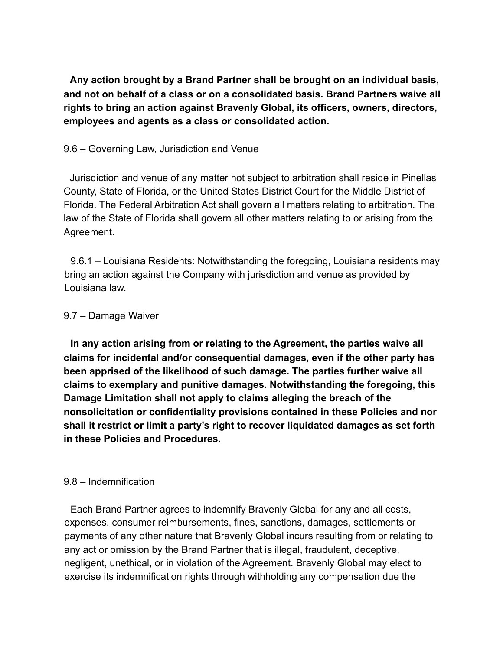**Any action brought by a Brand Partner shall be brought on an individual basis, and not on behalf of a class or on a consolidated basis. Brand Partners waive all rights to bring an action against Bravenly Global, its officers, owners, directors, employees and agents as a class or consolidated action.**

#### 9.6 – Governing Law, Jurisdiction and Venue

Jurisdiction and venue of any matter not subject to arbitration shall reside in Pinellas County, State of Florida, or the United States District Court for the Middle District of Florida. The Federal Arbitration Act shall govern all matters relating to arbitration. The law of the State of Florida shall govern all other matters relating to or arising from the Agreement.

9.6.1 – Louisiana Residents: Notwithstanding the foregoing, Louisiana residents may bring an action against the Company with jurisdiction and venue as provided by Louisiana law.

#### 9.7 – Damage Waiver

**In any action arising from or relating to the Agreement, the parties waive all claims for incidental and/or consequential damages, even if the other party has been apprised of the likelihood of such damage. The parties further waive all claims to exemplary and punitive damages. Notwithstanding the foregoing, this Damage Limitation shall not apply to claims alleging the breach of the nonsolicitation or confidentiality provisions contained in these Policies and nor shall it restrict or limit a party's right to recover liquidated damages as set forth in these Policies and Procedures.**

#### 9.8 – Indemnification

Each Brand Partner agrees to indemnify Bravenly Global for any and all costs, expenses, consumer reimbursements, fines, sanctions, damages, settlements or payments of any other nature that Bravenly Global incurs resulting from or relating to any act or omission by the Brand Partner that is illegal, fraudulent, deceptive, negligent, unethical, or in violation of the Agreement. Bravenly Global may elect to exercise its indemnification rights through withholding any compensation due the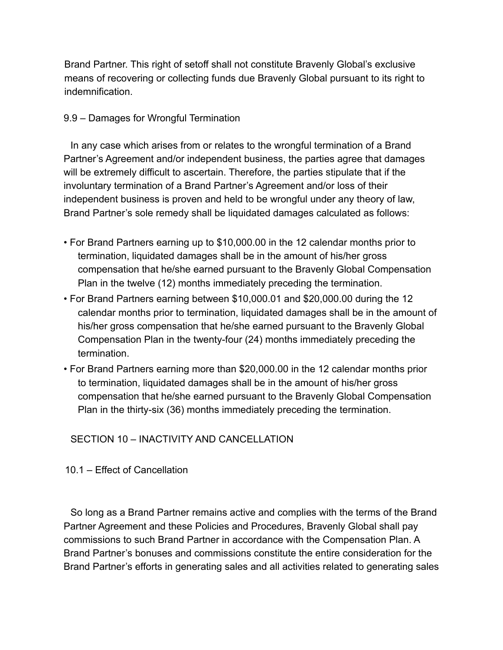Brand Partner. This right of setoff shall not constitute Bravenly Global's exclusive means of recovering or collecting funds due Bravenly Global pursuant to its right to indemnification.

#### 9.9 – Damages for Wrongful Termination

In any case which arises from or relates to the wrongful termination of a Brand Partner's Agreement and/or independent business, the parties agree that damages will be extremely difficult to ascertain. Therefore, the parties stipulate that if the involuntary termination of a Brand Partner's Agreement and/or loss of their independent business is proven and held to be wrongful under any theory of law, Brand Partner's sole remedy shall be liquidated damages calculated as follows:

- For Brand Partners earning up to \$10,000.00 in the 12 calendar months prior to termination, liquidated damages shall be in the amount of his/her gross compensation that he/she earned pursuant to the Bravenly Global Compensation Plan in the twelve (12) months immediately preceding the termination.
- For Brand Partners earning between \$10,000.01 and \$20,000.00 during the 12 calendar months prior to termination, liquidated damages shall be in the amount of his/her gross compensation that he/she earned pursuant to the Bravenly Global Compensation Plan in the twenty-four (24) months immediately preceding the termination.
- For Brand Partners earning more than \$20,000.00 in the 12 calendar months prior to termination, liquidated damages shall be in the amount of his/her gross compensation that he/she earned pursuant to the Bravenly Global Compensation Plan in the thirty-six (36) months immediately preceding the termination.

# SECTION 10 – INACTIVITY AND CANCELLATION

# 10.1 – Effect of Cancellation

So long as a Brand Partner remains active and complies with the terms of the Brand Partner Agreement and these Policies and Procedures, Bravenly Global shall pay commissions to such Brand Partner in accordance with the Compensation Plan. A Brand Partner's bonuses and commissions constitute the entire consideration for the Brand Partner's efforts in generating sales and all activities related to generating sales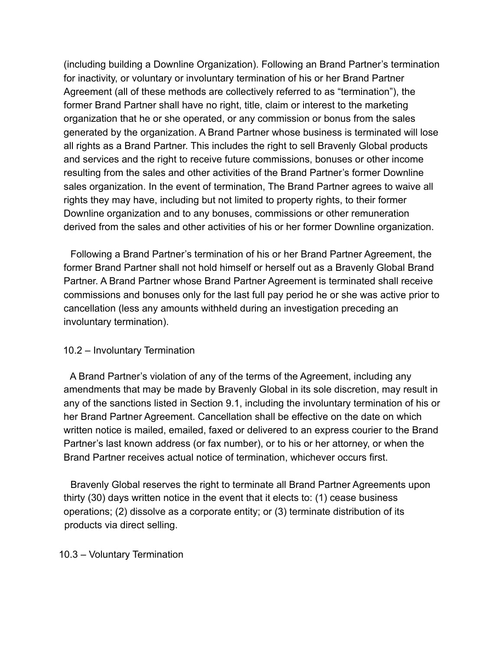(including building a Downline Organization). Following an Brand Partner's termination for inactivity, or voluntary or involuntary termination of his or her Brand Partner Agreement (all of these methods are collectively referred to as "termination"), the former Brand Partner shall have no right, title, claim or interest to the marketing organization that he or she operated, or any commission or bonus from the sales generated by the organization. A Brand Partner whose business is terminated will lose all rights as a Brand Partner. This includes the right to sell Bravenly Global products and services and the right to receive future commissions, bonuses or other income resulting from the sales and other activities of the Brand Partner's former Downline sales organization. In the event of termination, The Brand Partner agrees to waive all rights they may have, including but not limited to property rights, to their former Downline organization and to any bonuses, commissions or other remuneration derived from the sales and other activities of his or her former Downline organization.

Following a Brand Partner's termination of his or her Brand Partner Agreement, the former Brand Partner shall not hold himself or herself out as a Bravenly Global Brand Partner. A Brand Partner whose Brand Partner Agreement is terminated shall receive commissions and bonuses only for the last full pay period he or she was active prior to cancellation (less any amounts withheld during an investigation preceding an involuntary termination).

#### 10.2 – Involuntary Termination

A Brand Partner's violation of any of the terms of the Agreement, including any amendments that may be made by Bravenly Global in its sole discretion, may result in any of the sanctions listed in Section 9.1, including the involuntary termination of his or her Brand Partner Agreement. Cancellation shall be effective on the date on which written notice is mailed, emailed, faxed or delivered to an express courier to the Brand Partner's last known address (or fax number), or to his or her attorney, or when the Brand Partner receives actual notice of termination, whichever occurs first.

Bravenly Global reserves the right to terminate all Brand Partner Agreements upon thirty (30) days written notice in the event that it elects to: (1) cease business operations; (2) dissolve as a corporate entity; or (3) terminate distribution of its products via direct selling.

#### 10.3 – Voluntary Termination